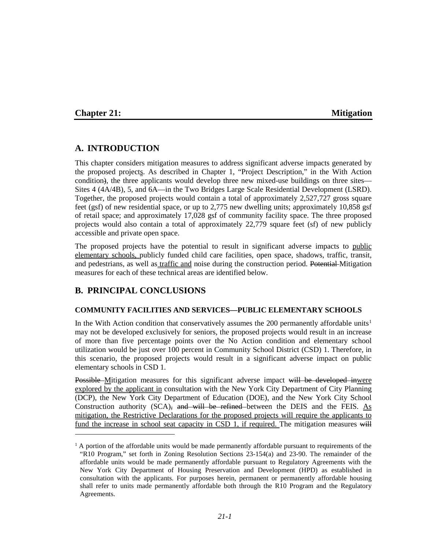#### **Chapter 21: Mitigation**

 $\overline{a}$ 

## **A. INTRODUCTION**

This chapter considers mitigation measures to address significant adverse impacts generated by the proposed projects. As described in Chapter 1, "Project Description," in the With Action condition), the three applicants would develop three new mixed-use buildings on three sites— Sites 4 (4A/4B), 5, and 6A—in the Two Bridges Large Scale Residential Development (LSRD). Together, the proposed projects would contain a total of approximately 2,527,727 gross square feet (gsf) of new residential space, or up to 2,775 new dwelling units; approximately 10,858 gsf of retail space; and approximately 17,028 gsf of community facility space. The three proposed projects would also contain a total of approximately 22,779 square feet (sf) of new publicly accessible and private open space.

The proposed projects have the potential to result in significant adverse impacts to public elementary schools, publicly funded child care facilities, open space, shadows, traffic, transit, and pedestrians, as well as traffic and noise during the construction period. Potential Mitigation measures for each of these technical areas are identified below.

## **B. PRINCIPAL CONCLUSIONS**

#### **COMMUNITY FACILITIES AND SERVICES—PUBLIC ELEMENTARY SCHOOLS**

In the With Action condition that conservatively assumes the 200 permanently affordable units<sup>[1](#page-0-0)</sup> may not be developed exclusively for seniors, the proposed projects would result in an increase of more than five percentage points over the No Action condition and elementary school utilization would be just over 100 percent in Community School District (CSD) 1. Therefore, in this scenario, the proposed projects would result in a significant adverse impact on public elementary schools in CSD 1.

Possible Mitigation measures for this significant adverse impact will be developed inwere explored by the applicant in consultation with the New York City Department of City Planning (DCP), the New York City Department of Education (DOE), and the New York City School Construction authority  $(SCA)$ , and will be refined between the DEIS and the FEIS. As mitigation, the Restrictive Declarations for the proposed projects will require the applicants to fund the increase in school seat capacity in CSD 1, if required. The mitigation measures will

<span id="page-0-0"></span> $1 A$  portion of the affordable units would be made permanently affordable pursuant to requirements of the "R10 Program," set forth in Zoning Resolution Sections 23-154(a) and 23-90. The remainder of the affordable units would be made permanently affordable pursuant to Regulatory Agreements with the New York City Department of Housing Preservation and Development (HPD) as established in consultation with the applicants. For purposes herein, permanent or permanently affordable housing shall refer to units made permanently affordable both through the R10 Program and the Regulatory Agreements.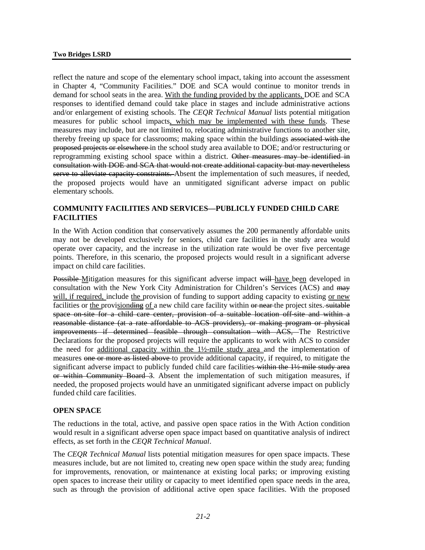reflect the nature and scope of the elementary school impact, taking into account the assessment in Chapter 4, "Community Facilities." DOE and SCA would continue to monitor trends in demand for school seats in the area. With the funding provided by the applicants, DOE and SCA responses to identified demand could take place in stages and include administrative actions and/or enlargement of existing schools. The *CEQR Technical Manual* lists potential mitigation measures for public school impacts, which may be implemented with these funds. These measures may include, but are not limited to, relocating administrative functions to another site, thereby freeing up space for classrooms; making space within the buildings associated with the proposed projects or elsewhere in the school study area available to DOE; and/or restructuring or reprogramming existing school space within a district. Other measures may be identified in consultation with DOE and SCA that would not create additional capacity but may nevertheless serve to alleviate capacity constraints. Absent the implementation of such measures, if needed, the proposed projects would have an unmitigated significant adverse impact on public elementary schools.

## **COMMUNITY FACILITIES AND SERVICES—PUBLICLY FUNDED CHILD CARE FACILITIES**

In the With Action condition that conservatively assumes the 200 permanently affordable units may not be developed exclusively for seniors, child care facilities in the study area would operate over capacity, and the increase in the utilization rate would be over five percentage points. Therefore, in this scenario, the proposed projects would result in a significant adverse impact on child care facilities.

Possible Mitigation measures for this significant adverse impact will have been developed in consultation with the New York City Administration for Children's Services (ACS) and may will, if required, include the provision of funding to support adding capacity to existing or new facilities or the provisionding of a new child care facility within or near the project sites. suitable space on-site for a child care center, provision of a suitable location off-site and within a reasonable distance (at a rate affordable to ACS providers), or making program or physical improvements if determined feasible through consultation with ACS, The Restrictive Declarations for the proposed projects will require the applicants to work with ACS to consider the need for additional capacity within the 1½-mile study area and the implementation of measures one or more as listed above to provide additional capacity, if required, to mitigate the significant adverse impact to publicly funded child care facilities within the 1½-mile study area or within Community Board 3. Absent the implementation of such mitigation measures, if needed, the proposed projects would have an unmitigated significant adverse impact on publicly funded child care facilities.

#### **OPEN SPACE**

The reductions in the total, active, and passive open space ratios in the With Action condition would result in a significant adverse open space impact based on quantitative analysis of indirect effects, as set forth in the *CEQR Technical Manual*.

The *CEQR Technical Manual* lists potential mitigation measures for open space impacts. These measures include, but are not limited to, creating new open space within the study area; funding for improvements, renovation, or maintenance at existing local parks; or improving existing open spaces to increase their utility or capacity to meet identified open space needs in the area, such as through the provision of additional active open space facilities. With the proposed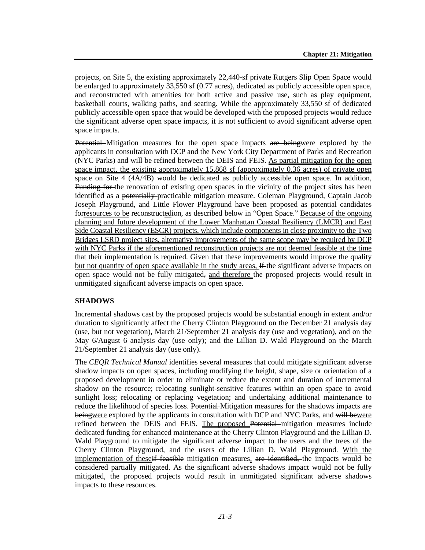projects, on Site 5, the existing approximately 22,440-sf private Rutgers Slip Open Space would be enlarged to approximately 33,550 sf (0.77 acres), dedicated as publicly accessible open space, and reconstructed with amenities for both active and passive use, such as play equipment, basketball courts, walking paths, and seating. While the approximately 33,550 sf of dedicated publicly accessible open space that would be developed with the proposed projects would reduce the significant adverse open space impacts, it is not sufficient to avoid significant adverse open space impacts.

Potential Mitigation measures for the open space impacts are beingwere explored by the applicants in consultation with DCP and the New York City Department of Parks and Recreation (NYC Parks) and will be refined between the DEIS and FEIS. As partial mitigation for the open space impact, the existing approximately 15,868 sf (approximately 0.36 acres) of private open space on Site 4 (4A/4B) would be dedicated as publicly accessible open space. In addition, Funding for the renovation of existing open spaces in the vicinity of the project sites has been identified as a potentially practicable mitigation measure. Coleman Playground, Captain Jacob Joseph Playground, and Little Flower Playground have been proposed as potential candidates for resources to be reconstructedion, as described below in "Open Space." Because of the ongoing planning and future development of the Lower Manhattan Coastal Resiliency (LMCR) and East Side Coastal Resiliency (ESCR) projects, which include components in close proximity to the Two Bridges LSRD project sites, alternative improvements of the same scope may be required by DCP with NYC Parks if the aforementioned reconstruction projects are not deemed feasible at the time that their implementation is required. Given that these improvements would improve the quality but not quantity of open space available in the study areas, If the significant adverse impacts on open space would not be fully mitigated, and therefore the proposed projects would result in unmitigated significant adverse impacts on open space.

## **SHADOWS**

Incremental shadows cast by the proposed projects would be substantial enough in extent and/or duration to significantly affect the Cherry Clinton Playground on the December 21 analysis day (use, but not vegetation), March 21/September 21 analysis day (use and vegetation), and on the May 6/August 6 analysis day (use only); and the Lillian D. Wald Playground on the March 21/September 21 analysis day (use only).

The *CEQR Technical Manual* identifies several measures that could mitigate significant adverse shadow impacts on open spaces, including modifying the height, shape, size or orientation of a proposed development in order to eliminate or reduce the extent and duration of incremental shadow on the resource; relocating sunlight-sensitive features within an open space to avoid sunlight loss; relocating or replacing vegetation; and undertaking additional maintenance to reduce the likelihood of species loss. Potential Mitigation measures for the shadows impacts are beingwere explored by the applicants in consultation with DCP and NYC Parks, and will bewere refined between the DEIS and FEIS. The proposed Potential mitigation measures include dedicated funding for enhanced maintenance at the Cherry Clinton Playground and the Lillian D. Wald Playground to mitigate the significant adverse impact to the users and the trees of the Cherry Clinton Playground, and the users of the Lillian D. Wald Playground. With the implementation of these<sup>If</sup> feasible mitigation measures, are identified, the impacts would be considered partially mitigated. As the significant adverse shadows impact would not be fully mitigated, the proposed projects would result in unmitigated significant adverse shadows impacts to these resources.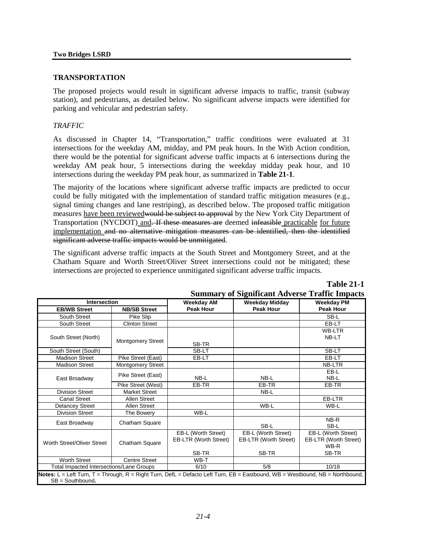#### **TRANSPORTATION**

The proposed projects would result in significant adverse impacts to traffic, transit (subway station), and pedestrians, as detailed below. No significant adverse impacts were identified for parking and vehicular and pedestrian safety.

#### *TRAFFIC*

As discussed in Chapter 14, "Transportation," traffic conditions were evaluated at 31 intersections for the weekday AM, midday, and PM peak hours. In the With Action condition, there would be the potential for significant adverse traffic impacts at 6 intersections during the weekday AM peak hour, 5 intersections during the weekday midday peak hour, and 10 intersections during the weekday PM peak hour, as summarized in **Table 21-1**.

The majority of the locations where significant adverse traffic impacts are predicted to occur could be fully mitigated with the implementation of standard traffic mitigation measures (e.g., signal timing changes and lane restriping), as described below. The proposed traffic mitigation measures have been reviewed would be subject to approval by the New York City Department of Transportation (NYCDOT) and. If these measures are deemed infeasible practicable for future implementation and no alternative mitigation measures can be identified, then the identified significant adverse traffic impacts would be unmitigated.

The significant adverse traffic impacts at the South Street and Montgomery Street, and at the Chatham Square and Worth Street/Oliver Street intersections could not be mitigated; these intersections are projected to experience unmitigated significant adverse traffic impacts.

## **Table 21-1**

|                                                                                                                               |                                                                  |                       | Summary of Significant Adverse Traffic Impacts |                       |  |  |  |  |  |  |  |
|-------------------------------------------------------------------------------------------------------------------------------|------------------------------------------------------------------|-----------------------|------------------------------------------------|-----------------------|--|--|--|--|--|--|--|
| <b>Intersection</b>                                                                                                           |                                                                  | <b>Weekday AM</b>     | <b>Weekday Midday</b>                          | <b>Weekday PM</b>     |  |  |  |  |  |  |  |
| <b>EB/WB Street</b>                                                                                                           | <b>NB/SB Street</b>                                              | <b>Peak Hour</b>      | <b>Peak Hour</b>                               | <b>Peak Hour</b>      |  |  |  |  |  |  |  |
| South Street                                                                                                                  | Pike Slip                                                        |                       |                                                | SB-L                  |  |  |  |  |  |  |  |
| South Street                                                                                                                  | <b>Clinton Street</b>                                            |                       |                                                | EB-LT                 |  |  |  |  |  |  |  |
|                                                                                                                               |                                                                  |                       |                                                | <b>WB-LTR</b>         |  |  |  |  |  |  |  |
| South Street (North)                                                                                                          | <b>Montgomery Street</b>                                         |                       |                                                | NB-LT                 |  |  |  |  |  |  |  |
|                                                                                                                               |                                                                  | SB-TR                 |                                                |                       |  |  |  |  |  |  |  |
| South Street (South)                                                                                                          |                                                                  | SB-LT                 |                                                | SB-LT                 |  |  |  |  |  |  |  |
| <b>Madison Street</b>                                                                                                         | Pike Street (East)                                               | EB-LT                 |                                                | EB-LT                 |  |  |  |  |  |  |  |
| <b>Madison Street</b>                                                                                                         | Montgomery Street                                                |                       |                                                | <b>NB-LTR</b>         |  |  |  |  |  |  |  |
|                                                                                                                               | Pike Street (East)                                               |                       |                                                | EB-L                  |  |  |  |  |  |  |  |
| East Broadway                                                                                                                 |                                                                  | NB-L                  | NB-L                                           | NB-L                  |  |  |  |  |  |  |  |
|                                                                                                                               | Pike Street (West)                                               | EB-TR                 | EB-TR                                          | EB-TR                 |  |  |  |  |  |  |  |
| <b>Division Street</b>                                                                                                        | Market Street                                                    |                       | NB-L                                           |                       |  |  |  |  |  |  |  |
| <b>Canal Street</b>                                                                                                           | <b>Allen Street</b>                                              |                       |                                                | EB-LTR                |  |  |  |  |  |  |  |
| <b>Delancey Street</b>                                                                                                        | <b>Allen Street</b>                                              |                       | WB-L                                           | WB-L                  |  |  |  |  |  |  |  |
| <b>Division Street</b>                                                                                                        | The Bowery                                                       | WB-L                  |                                                |                       |  |  |  |  |  |  |  |
| East Broadway                                                                                                                 | Chatham Square                                                   |                       |                                                | NB-R                  |  |  |  |  |  |  |  |
|                                                                                                                               |                                                                  |                       | SB-L                                           | SB-L                  |  |  |  |  |  |  |  |
|                                                                                                                               |                                                                  | EB-L (Worth Street)   | EB-L (Worth Street)                            | EB-L (Worth Street)   |  |  |  |  |  |  |  |
| Worth Street/Oliver Street                                                                                                    | Chatham Square                                                   | EB-LTR (Worth Street) | EB-LTR (Worth Street)                          | EB-LTR (Worth Street) |  |  |  |  |  |  |  |
|                                                                                                                               |                                                                  |                       |                                                | WB-R                  |  |  |  |  |  |  |  |
|                                                                                                                               |                                                                  | SB-TR                 | SB-TR                                          | SB-TR                 |  |  |  |  |  |  |  |
| <b>Worth Street</b><br><b>Centre Street</b><br>WB-T                                                                           |                                                                  |                       |                                                |                       |  |  |  |  |  |  |  |
|                                                                                                                               | Total Impacted Intersections/Lane Groups<br>6/10<br>5/8<br>10/18 |                       |                                                |                       |  |  |  |  |  |  |  |
| Notes: L = Left Turn, T = Through, R = Right Turn, DefL = Defacto Left Turn, EB = Eastbound, WB = Westbound, NB = Northbound, |                                                                  |                       |                                                |                       |  |  |  |  |  |  |  |
| $SB =$ Southbound.                                                                                                            |                                                                  |                       |                                                |                       |  |  |  |  |  |  |  |

## **Summary of Significant Adverse Traffic Impacts**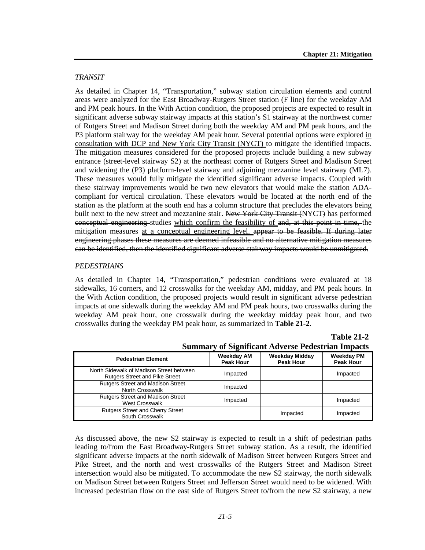#### *TRANSIT*

As detailed in Chapter 14, "Transportation," subway station circulation elements and control areas were analyzed for the East Broadway-Rutgers Street station (F line) for the weekday AM and PM peak hours. In the With Action condition, the proposed projects are expected to result in significant adverse subway stairway impacts at this station's S1 stairway at the northwest corner of Rutgers Street and Madison Street during both the weekday AM and PM peak hours, and the P3 platform stairway for the weekday AM peak hour. Several potential options were explored in consultation with DCP and New York City Transit (NYCT) to mitigate the identified impacts. The mitigation measures considered for the proposed projects include building a new subway entrance (street-level stairway S2) at the northeast corner of Rutgers Street and Madison Street and widening the (P3) platform-level stairway and adjoining mezzanine level stairway (ML7). These measures would fully mitigate the identified significant adverse impacts. Coupled with these stairway improvements would be two new elevators that would make the station ADAcompliant for vertical circulation. These elevators would be located at the north end of the station as the platform at the south end has a column structure that precludes the elevators being built next to the new street and mezzanine stair. New York City Transit (NYCT) has performed conceptual engineering studies which confirm the feasibility of and, at this point in time, the mitigation measures at a conceptual engineering level. appear to be feasible. If during later engineering phases these measures are deemed infeasible and no alternative mitigation measures can be identified, then the identified significant adverse stairway impacts would be unmitigated.

#### *PEDESTRIANS*

As detailed in Chapter 14, "Transportation," pedestrian conditions were evaluated at 18 sidewalks, 16 corners, and 12 crosswalks for the weekday AM, midday, and PM peak hours. In the With Action condition, the proposed projects would result in significant adverse pedestrian impacts at one sidewalk during the weekday AM and PM peak hours, two crosswalks during the weekday AM peak hour, one crosswalk during the weekday midday peak hour, and two crosswalks during the weekday PM peak hour, as summarized in **Table 21-2**.

## **Table 21-2**

|                                                                                   | -- <i>-</i> -- --                     |                                           |                                       |
|-----------------------------------------------------------------------------------|---------------------------------------|-------------------------------------------|---------------------------------------|
| <b>Pedestrian Element</b>                                                         | <b>Weekday AM</b><br><b>Peak Hour</b> | <b>Weekday Midday</b><br><b>Peak Hour</b> | <b>Weekday PM</b><br><b>Peak Hour</b> |
| North Sidewalk of Madison Street between<br><b>Rutgers Street and Pike Street</b> | Impacted                              |                                           | Impacted                              |
| <b>Rutgers Street and Madison Street</b><br><b>North Crosswalk</b>                | Impacted                              |                                           |                                       |
| <b>Rutgers Street and Madison Street</b><br><b>West Crosswalk</b>                 | Impacted                              |                                           | Impacted                              |
| <b>Rutgers Street and Cherry Street</b><br>South Crosswalk                        |                                       | Impacted                                  | Impacted                              |

**Summary of Significant Adverse Pedestrian Impacts**

As discussed above, the new S2 stairway is expected to result in a shift of pedestrian paths leading to/from the East Broadway-Rutgers Street subway station. As a result, the identified significant adverse impacts at the north sidewalk of Madison Street between Rutgers Street and Pike Street, and the north and west crosswalks of the Rutgers Street and Madison Street intersection would also be mitigated. To accommodate the new S2 stairway, the north sidewalk on Madison Street between Rutgers Street and Jefferson Street would need to be widened. With increased pedestrian flow on the east side of Rutgers Street to/from the new S2 stairway, a new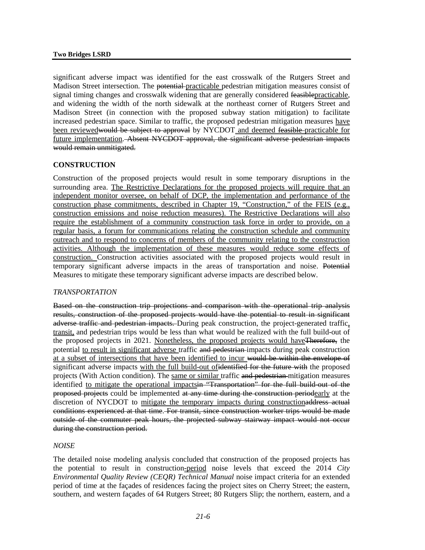#### **Two Bridges LSRD**

significant adverse impact was identified for the east crosswalk of the Rutgers Street and Madison Street intersection. The potential practicable pedestrian mitigation measures consist of signal timing changes and crosswalk widening that are generally considered feasiblepracticable, and widening the width of the north sidewalk at the northeast corner of Rutgers Street and Madison Street (in connection with the proposed subway station mitigation) to facilitate increased pedestrian space. Similar to traffic, the proposed pedestrian mitigation measures have been reviewedwould be subject to approval by NYCDOT and deemed feasible practicable for future implementation. Absent NYCDOT approval, the significant adverse pedestrian impacts would remain unmitigated.

#### **CONSTRUCTION**

Construction of the proposed projects would result in some temporary disruptions in the surrounding area. The Restrictive Declarations for the proposed projects will require that an independent monitor oversee, on behalf of DCP, the implementation and performance of the construction phase commitments, described in Chapter 19, "Construction," of the FEIS (e.g., construction emissions and noise reduction measures). The Restrictive Declarations will also require the establishment of a community construction task force in order to provide, on a regular basis, a forum for communications relating the construction schedule and community outreach and to respond to concerns of members of the community relating to the construction activities. Although the implementation of these measures would reduce some effects of construction. Construction activities associated with the proposed projects would result in temporary significant adverse impacts in the areas of transportation and noise. Potential Measures to mitigate these temporary significant adverse impacts are described below.

#### *TRANSPORTATION*

Based on the construction trip projections and comparison with the operational trip analysis results, construction of the proposed projects would have the potential to result in significant adverse traffic and pedestrian impacts. During peak construction, the project-generated traffic, transit, and pedestrian trips would be less than what would be realized with the full build-out of the proposed projects in 2021. Nonetheless, the proposed projects would haveTherefore, the potential to result in significant adverse traffic and pedestrian impacts during peak construction at a subset of intersections that have been identified to incur would be within the envelope of significant adverse impacts with the full build-out ofidentified for the future with the proposed projects (With Action condition). The same or similar traffic and pedestrian mitigation measures identified to mitigate the operational impacts in "Transportation" for the full build-out of the proposed projects could be implemented at any time during the construction periodearly at the discretion of NYCDOT to mitigate the temporary impacts during constructionaddress actual conditions experienced at that time. For transit, since construction worker trips would be made outside of the commuter peak hours, the projected subway stairway impact would not occur during the construction period.

#### *NOISE*

The detailed noise modeling analysis concluded that construction of the proposed projects has the potential to result in construction-period noise levels that exceed the 2014 *City Environmental Quality Review (CEQR) Technical Manual* noise impact criteria for an extended period of time at the façades of residences facing the project sites on Cherry Street; the eastern, southern, and western façades of 64 Rutgers Street; 80 Rutgers Slip; the northern, eastern, and a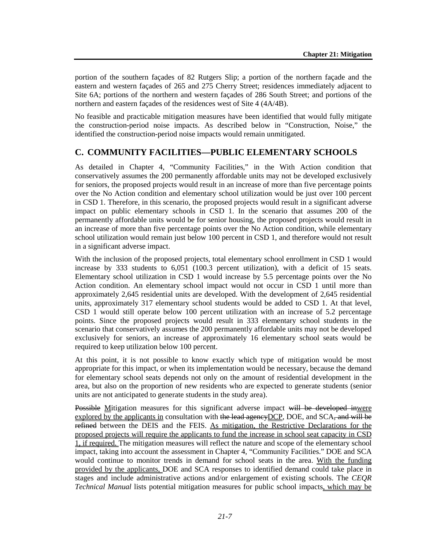portion of the southern façades of 82 Rutgers Slip; a portion of the northern façade and the eastern and western façades of 265 and 275 Cherry Street; residences immediately adjacent to Site 6A; portions of the northern and western façades of 286 South Street; and portions of the northern and eastern façades of the residences west of Site 4 (4A/4B).

No feasible and practicable mitigation measures have been identified that would fully mitigate the construction-period noise impacts. As described below in "Construction, Noise," the identified the construction-period noise impacts would remain unmitigated.

## **C. COMMUNITY FACILITIES—PUBLIC ELEMENTARY SCHOOLS**

As detailed in Chapter 4, "Community Facilities," in the With Action condition that conservatively assumes the 200 permanently affordable units may not be developed exclusively for seniors, the proposed projects would result in an increase of more than five percentage points over the No Action condition and elementary school utilization would be just over 100 percent in CSD 1. Therefore, in this scenario, the proposed projects would result in a significant adverse impact on public elementary schools in CSD 1. In the scenario that assumes 200 of the permanently affordable units would be for senior housing, the proposed projects would result in an increase of more than five percentage points over the No Action condition, while elementary school utilization would remain just below 100 percent in CSD 1, and therefore would not result in a significant adverse impact.

With the inclusion of the proposed projects, total elementary school enrollment in CSD 1 would increase by 333 students to 6,051 (100.3 percent utilization), with a deficit of 15 seats. Elementary school utilization in CSD 1 would increase by 5.5 percentage points over the No Action condition. An elementary school impact would not occur in CSD 1 until more than approximately 2,645 residential units are developed. With the development of 2,645 residential units, approximately 317 elementary school students would be added to CSD 1. At that level, CSD 1 would still operate below 100 percent utilization with an increase of 5.2 percentage points. Since the proposed projects would result in 333 elementary school students in the scenario that conservatively assumes the 200 permanently affordable units may not be developed exclusively for seniors, an increase of approximately 16 elementary school seats would be required to keep utilization below 100 percent.

At this point, it is not possible to know exactly which type of mitigation would be most appropriate for this impact, or when its implementation would be necessary, because the demand for elementary school seats depends not only on the amount of residential development in the area, but also on the proportion of new residents who are expected to generate students (senior units are not anticipated to generate students in the study area).

Possible Mitigation measures for this significant adverse impact will be developed inwere explored by the applicants in consultation with the lead agency DCP, DOE, and SCA, and will be refined between the DEIS and the FEIS. As mitigation, the Restrictive Declarations for the proposed projects will require the applicants to fund the increase in school seat capacity in CSD 1, if required. The mitigation measures will reflect the nature and scope of the elementary school impact, taking into account the assessment in Chapter 4, "Community Facilities." DOE and SCA would continue to monitor trends in demand for school seats in the area. With the funding provided by the applicants, DOE and SCA responses to identified demand could take place in stages and include administrative actions and/or enlargement of existing schools. The *CEQR Technical Manual* lists potential mitigation measures for public school impacts, which may be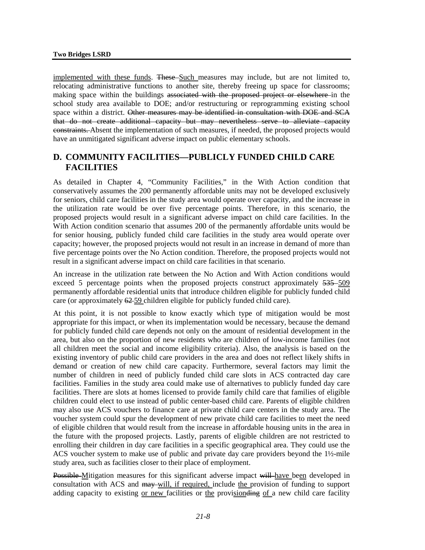implemented with these funds. These Such measures may include, but are not limited to, relocating administrative functions to another site, thereby freeing up space for classrooms; making space within the buildings associated with the proposed project or elsewhere in the school study area available to DOE; and/or restructuring or reprogramming existing school space within a district. Other measures may be identified in consultation with DOE and SCA that do not create additional capacity but may nevertheless serve to alleviate capacity constraints. Absent the implementation of such measures, if needed, the proposed projects would have an unmitigated significant adverse impact on public elementary schools.

## **D. COMMUNITY FACILITIES—PUBLICLY FUNDED CHILD CARE FACILITIES**

As detailed in Chapter 4, "Community Facilities," in the With Action condition that conservatively assumes the 200 permanently affordable units may not be developed exclusively for seniors, child care facilities in the study area would operate over capacity, and the increase in the utilization rate would be over five percentage points. Therefore, in this scenario, the proposed projects would result in a significant adverse impact on child care facilities. In the With Action condition scenario that assumes 200 of the permanently affordable units would be for senior housing, publicly funded child care facilities in the study area would operate over capacity; however, the proposed projects would not result in an increase in demand of more than five percentage points over the No Action condition. Therefore, the proposed projects would not result in a significant adverse impact on child care facilities in that scenario.

An increase in the utilization rate between the No Action and With Action conditions would exceed 5 percentage points when the proposed projects construct approximately  $535 - 509$ permanently affordable residential units that introduce children eligible for publicly funded child care (or approximately 62 59 children eligible for publicly funded child care).

At this point, it is not possible to know exactly which type of mitigation would be most appropriate for this impact, or when its implementation would be necessary, because the demand for publicly funded child care depends not only on the amount of residential development in the area, but also on the proportion of new residents who are children of low-income families (not all children meet the social and income eligibility criteria). Also, the analysis is based on the existing inventory of public child care providers in the area and does not reflect likely shifts in demand or creation of new child care capacity. Furthermore, several factors may limit the number of children in need of publicly funded child care slots in ACS contracted day care facilities. Families in the study area could make use of alternatives to publicly funded day care facilities. There are slots at homes licensed to provide family child care that families of eligible children could elect to use instead of public center-based child care. Parents of eligible children may also use ACS vouchers to finance care at private child care centers in the study area. The voucher system could spur the development of new private child care facilities to meet the need of eligible children that would result from the increase in affordable housing units in the area in the future with the proposed projects. Lastly, parents of eligible children are not restricted to enrolling their children in day care facilities in a specific geographical area. They could use the ACS voucher system to make use of public and private day care providers beyond the 1½-mile study area, such as facilities closer to their place of employment.

Possible Mitigation measures for this significant adverse impact will have been developed in consultation with ACS and may will, if required, include the provision of funding to support adding capacity to existing or new facilities or the provision ding of a new child care facility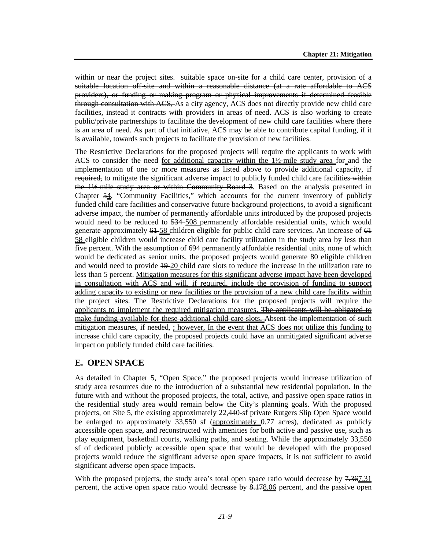within or near the project sites. -suitable space on site for a child care center, provision of a suitable location off-site and within a reasonable distance (at a rate affordable to ACS providers), or funding or making program or physical improvements if determined feasible through consultation with ACS, As a city agency, ACS does not directly provide new child care facilities, instead it contracts with providers in areas of need. ACS is also working to create public/private partnerships to facilitate the development of new child care facilities where there is an area of need. As part of that initiative, ACS may be able to contribute capital funding, if it is available, towards such projects to facilitate the provision of new facilities.

The Restrictive Declarations for the proposed projects will require the applicants to work with ACS to consider the need for additional capacity within the 1½-mile study area for and the implementation of one or more measures as listed above to provide additional capacity,  $\pm$ required, to mitigate the significant adverse impact to publicly funded child care facilities within the 1½-mile study area or within Community Board 3. Based on the analysis presented in Chapter 54, "Community Facilities," which accounts for the current inventory of publicly funded child care facilities and conservative future background projections, to avoid a significant adverse impact, the number of permanently affordable units introduced by the proposed projects would need to be reduced to  $534 - 508$  permanently affordable residential units, which would generate approximately  $64-58$  children eligible for public child care services. An increase of  $64$ 58 eligible children would increase child care facility utilization in the study area by less than five percent. With the assumption of 694 permanently affordable residential units, none of which would be dedicated as senior units, the proposed projects would generate 80 eligible children and would need to provide 19 20 child care slots to reduce the increase in the utilization rate to less than 5 percent. Mitigation measures for this significant adverse impact have been developed in consultation with ACS and will, if required, include the provision of funding to support adding capacity to existing or new facilities or the provision of a new child care facility within the project sites. The Restrictive Declarations for the proposed projects will require the applicants to implement the required mitigation measures. The applicants will be obligated to make funding available for these additional child care slots, Absent the implementation of such mitigation measures, if needed, ; however, In the event that ACS does not utilize this funding to increase child care capacity, the proposed projects could have an unmitigated significant adverse impact on publicly funded child care facilities.

## **E. OPEN SPACE**

As detailed in Chapter 5, "Open Space," the proposed projects would increase utilization of study area resources due to the introduction of a substantial new residential population. In the future with and without the proposed projects, the total, active, and passive open space ratios in the residential study area would remain below the City's planning goals. With the proposed projects, on Site 5, the existing approximately 22,440-sf private Rutgers Slip Open Space would be enlarged to approximately 33,550 sf (approximately 0.77 acres), dedicated as publicly accessible open space, and reconstructed with amenities for both active and passive use, such as play equipment, basketball courts, walking paths, and seating. While the approximately 33,550 sf of dedicated publicly accessible open space that would be developed with the proposed projects would reduce the significant adverse open space impacts, it is not sufficient to avoid significant adverse open space impacts.

With the proposed projects, the study area's total open space ratio would decrease by 7.367.31 percent, the active open space ratio would decrease by 8.178.06 percent, and the passive open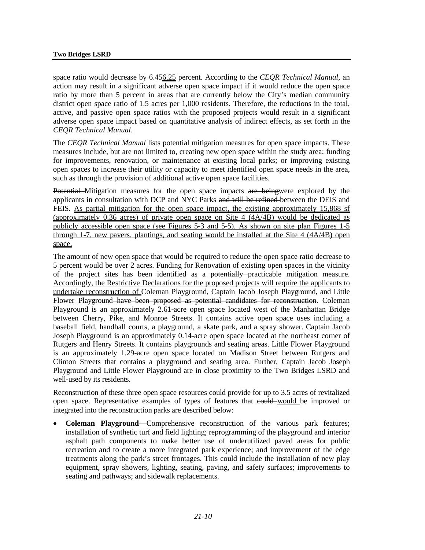space ratio would decrease by 6.456.25 percent. According to the *CEQR Technical Manual*, an action may result in a significant adverse open space impact if it would reduce the open space ratio by more than 5 percent in areas that are currently below the City's median community district open space ratio of 1.5 acres per 1,000 residents. Therefore, the reductions in the total, active, and passive open space ratios with the proposed projects would result in a significant adverse open space impact based on quantitative analysis of indirect effects, as set forth in the *CEQR Technical Manual*.

The *CEQR Technical Manual* lists potential mitigation measures for open space impacts. These measures include, but are not limited to, creating new open space within the study area; funding for improvements, renovation, or maintenance at existing local parks; or improving existing open spaces to increase their utility or capacity to meet identified open space needs in the area, such as through the provision of additional active open space facilities.

Potential Mitigation measures for the open space impacts are beingwere explored by the applicants in consultation with DCP and NYC Parks and will be refined between the DEIS and FEIS. As partial mitigation for the open space impact, the existing approximately 15,868 sf (approximately 0.36 acres) of private open space on Site 4 (4A/4B) would be dedicated as publicly accessible open space (see Figures 5-3 and 5-5). As shown on site plan Figures 1-5 through 1-7, new pavers, plantings, and seating would be installed at the Site 4 (4A/4B) open space.

The amount of new open space that would be required to reduce the open space ratio decrease to 5 percent would be over 2 acres. Funding for Renovation of existing open spaces in the vicinity of the project sites has been identified as a potentially practicable mitigation measure. Accordingly, the Restrictive Declarations for the proposed projects will require the applicants to undertake reconstruction of Coleman Playground, Captain Jacob Joseph Playground, and Little Flower Playground have been proposed as potential candidates for reconstruction. Coleman Playground is an approximately 2.61-acre open space located west of the Manhattan Bridge between Cherry, Pike, and Monroe Streets. It contains active open space uses including a baseball field, handball courts, a playground, a skate park, and a spray shower. Captain Jacob Joseph Playground is an approximately 0.14-acre open space located at the northeast corner of Rutgers and Henry Streets. It contains playgrounds and seating areas. Little Flower Playground is an approximately 1.29-acre open space located on Madison Street between Rutgers and Clinton Streets that contains a playground and seating area. Further, Captain Jacob Joseph Playground and Little Flower Playground are in close proximity to the Two Bridges LSRD and well-used by its residents.

Reconstruction of these three open space resources could provide for up to 3.5 acres of revitalized open space. Representative examples of types of features that could would be improved or integrated into the reconstruction parks are described below:

• **Coleman Playground**—Comprehensive reconstruction of the various park features; installation of synthetic turf and field lighting; reprogramming of the playground and interior asphalt path components to make better use of underutilized paved areas for public recreation and to create a more integrated park experience; and improvement of the edge treatments along the park's street frontages. This could include the installation of new play equipment, spray showers, lighting, seating, paving, and safety surfaces; improvements to seating and pathways; and sidewalk replacements.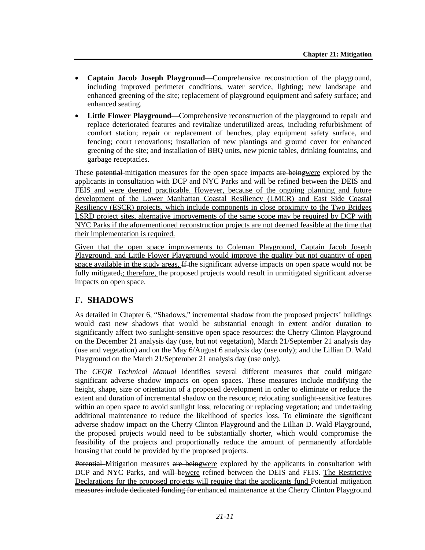- **Captain Jacob Joseph Playground**—Comprehensive reconstruction of the playground, including improved perimeter conditions, water service, lighting; new landscape and enhanced greening of the site; replacement of playground equipment and safety surface; and enhanced seating.
- **Little Flower Playground**—Comprehensive reconstruction of the playground to repair and replace deteriorated features and revitalize underutilized areas, including refurbishment of comfort station; repair or replacement of benches, play equipment safety surface, and fencing; court renovations; installation of new plantings and ground cover for enhanced greening of the site; and installation of BBQ units, new picnic tables, drinking fountains, and garbage receptacles.

These potential mitigation measures for the open space impacts are beingwere explored by the applicants in consultation with DCP and NYC Parks and will be refined between the DEIS and FEIS and were deemed practicable. However, because of the ongoing planning and future development of the Lower Manhattan Coastal Resiliency (LMCR) and East Side Coastal Resiliency (ESCR) projects, which include components in close proximity to the Two Bridges LSRD project sites, alternative improvements of the same scope may be required by DCP with NYC Parks if the aforementioned reconstruction projects are not deemed feasible at the time that their implementation is required.

Given that the open space improvements to Coleman Playground, Captain Jacob Joseph Playground, and Little Flower Playground would improve the quality but not quantity of open space available in the study areas, If the significant adverse impacts on open space would not be fully mitigated, therefore, the proposed projects would result in unmitigated significant adverse impacts on open space.

## **F. SHADOWS**

As detailed in Chapter 6, "Shadows," incremental shadow from the proposed projects' buildings would cast new shadows that would be substantial enough in extent and/or duration to significantly affect two sunlight-sensitive open space resources: the Cherry Clinton Playground on the December 21 analysis day (use, but not vegetation), March 21/September 21 analysis day (use and vegetation) and on the May 6/August 6 analysis day (use only); and the Lillian D. Wald Playground on the March 21/September 21 analysis day (use only).

The *CEQR Technical Manual* identifies several different measures that could mitigate significant adverse shadow impacts on open spaces. These measures include modifying the height, shape, size or orientation of a proposed development in order to eliminate or reduce the extent and duration of incremental shadow on the resource; relocating sunlight-sensitive features within an open space to avoid sunlight loss; relocating or replacing vegetation; and undertaking additional maintenance to reduce the likelihood of species loss. To eliminate the significant adverse shadow impact on the Cherry Clinton Playground and the Lillian D. Wald Playground, the proposed projects would need to be substantially shorter, which would compromise the feasibility of the projects and proportionally reduce the amount of permanently affordable housing that could be provided by the proposed projects.

Potential Mitigation measures are beingwere explored by the applicants in consultation with DCP and NYC Parks, and will bewere refined between the DEIS and FEIS. The Restrictive Declarations for the proposed projects will require that the applicants fund Potential mitigation measures include dedicated funding for enhanced maintenance at the Cherry Clinton Playground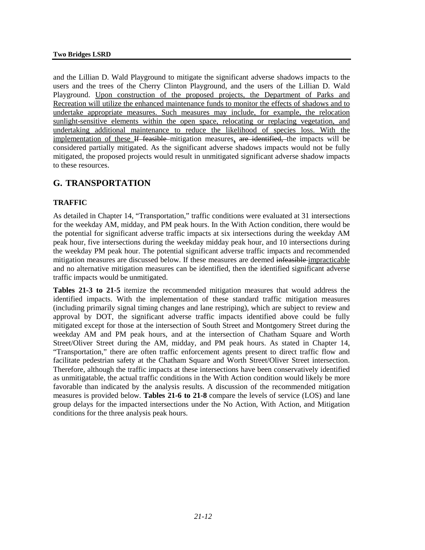and the Lillian D. Wald Playground to mitigate the significant adverse shadows impacts to the users and the trees of the Cherry Clinton Playground, and the users of the Lillian D. Wald Playground. Upon construction of the proposed projects, the Department of Parks and Recreation will utilize the enhanced maintenance funds to monitor the effects of shadows and to undertake appropriate measures. Such measures may include, for example, the relocation sunlight-sensitive elements within the open space, relocating or replacing vegetation, and undertaking additional maintenance to reduce the likelihood of species loss. With the implementation of these If feasible mitigation measures, are identified, the impacts will be considered partially mitigated. As the significant adverse shadows impacts would not be fully mitigated, the proposed projects would result in unmitigated significant adverse shadow impacts to these resources.

## **G. TRANSPORTATION**

## **TRAFFIC**

As detailed in Chapter 14, "Transportation," traffic conditions were evaluated at 31 intersections for the weekday AM, midday, and PM peak hours. In the With Action condition, there would be the potential for significant adverse traffic impacts at six intersections during the weekday AM peak hour, five intersections during the weekday midday peak hour, and 10 intersections during the weekday PM peak hour. The potential significant adverse traffic impacts and recommended mitigation measures are discussed below. If these measures are deemed infeasible impracticable and no alternative mitigation measures can be identified, then the identified significant adverse traffic impacts would be unmitigated.

**Tables 21-3 to 21-5** itemize the recommended mitigation measures that would address the identified impacts. With the implementation of these standard traffic mitigation measures (including primarily signal timing changes and lane restriping), which are subject to review and approval by DOT, the significant adverse traffic impacts identified above could be fully mitigated except for those at the intersection of South Street and Montgomery Street during the weekday AM and PM peak hours, and at the intersection of Chatham Square and Worth Street/Oliver Street during the AM, midday, and PM peak hours. As stated in Chapter 14, "Transportation," there are often traffic enforcement agents present to direct traffic flow and facilitate pedestrian safety at the Chatham Square and Worth Street/Oliver Street intersection. Therefore, although the traffic impacts at these intersections have been conservatively identified as unmitigatable, the actual traffic conditions in the With Action condition would likely be more favorable than indicated by the analysis results. A discussion of the recommended mitigation measures is provided below. **Tables 21-6 to 21-8** compare the levels of service (LOS) and lane group delays for the impacted intersections under the No Action, With Action, and Mitigation conditions for the three analysis peak hours.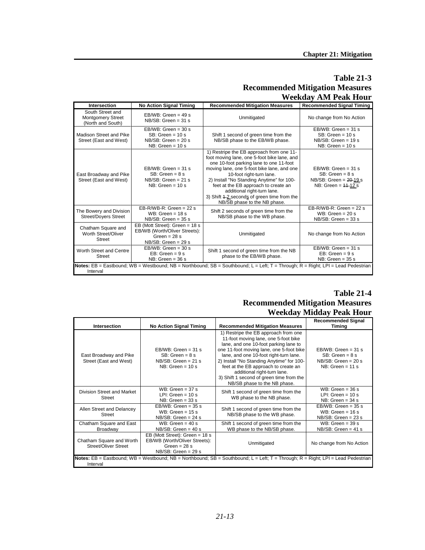### **Table 21-3 Recommended Mitigation Measures Weekday AM Peak Hour**

| Intersection                                                      | <b>No Action Signal Timing</b>                                                                              | <b>Recommended Mitigation Measures</b>                                                                                                                                                                                                                                                                                                                                                                          | <b>Recommended Signal Timing</b>                                                                  |
|-------------------------------------------------------------------|-------------------------------------------------------------------------------------------------------------|-----------------------------------------------------------------------------------------------------------------------------------------------------------------------------------------------------------------------------------------------------------------------------------------------------------------------------------------------------------------------------------------------------------------|---------------------------------------------------------------------------------------------------|
| South Street and<br><b>Montgomery Street</b><br>(North and South) | $EBWB: Green = 49s$<br>$NB/SB$ : Green = 31 s                                                               | Unmitigated                                                                                                                                                                                                                                                                                                                                                                                                     | No change from No Action                                                                          |
| Madison Street and Pike<br>Street (East and West)                 | $EB/WB$ : Green = 30 s<br>$SB: Green = 10 s$<br>$NB/SB$ : Green = 20 s<br>$NB: Green = 10s$                 | Shift 1 second of green time from the<br>NB/SB phase to the EB/WB phase.                                                                                                                                                                                                                                                                                                                                        | $EB/WB$ : Green = 31 s<br>$SB: Green = 10s$<br>$NB/SB$ : Green = 19 s<br>$NB: Green = 10s$        |
| East Broadway and Pike<br>Street (East and West)                  | $EB/WB$ : Green = 31 s<br>$SB: Green = 8s$<br>$NB/SB$ : Green = 21 s<br>$NB: Green = 10s$                   | 1) Restripe the EB approach from one 11-<br>foot moving lane, one 5-foot bike lane, and<br>one 10-foot parking lane to one 11-foot<br>moving lane, one 5-foot bike lane, and one<br>10-foot right-turn lane.<br>2) Install "No Standing Anytime" for 100-<br>feet at the EB approach to create an<br>additional right-turn lane.<br>3) Shift 4-2 seconds of green time from the<br>NB/SB phase to the NB phase. | $EB/WB$ : Green = 31 s<br>$SB: Green = 8s$<br>NB/SB: Green = $20-19$ s<br>NB: Green = $14 - 12$ s |
| The Bowery and Division<br><b>Street/Doyers Street</b>            | $EB-R/WB-R$ : Green = 22 s<br>$WB: Green = 18 s$<br>$NB/SB$ : Green = 35 s                                  | Shift 2 seconds of green time from the<br>NB/SB phase to the WB phase.                                                                                                                                                                                                                                                                                                                                          | $EB-R/WB-R$ : Green = 22 s<br>WB: Green = $20 s$<br>$NB/SB$ : Green = 33 s                        |
| Chatham Square and<br>Worth Street/Oliver<br><b>Street</b>        | EB (Mott Street): Green = 18 s<br>EB/WB (Worth/Oliver Streets):<br>Green = $28 s$<br>$NB/SB$ : Green = 29 s | Unmitigated                                                                                                                                                                                                                                                                                                                                                                                                     | No change from No Action                                                                          |
| Worth Street and Centre<br>Street                                 | $EBWB$ : Green = 30 s<br>$EB: Green = 9s$<br>$NB: Green = 36s$                                              | Shift 1 second of green time from the NB<br>phase to the EB/WB phase.                                                                                                                                                                                                                                                                                                                                           | $EB/WB$ : Green = 31 s<br>$EB: Green = 9s$<br>$NB: Green = 35s$                                   |
| Interval                                                          |                                                                                                             | Notes: EB = Eastbound; WB = Westbound; NB = Northbound; SB = Southbound; L = Left; T = Through; R = Right; LPI = Lead Pedestrian                                                                                                                                                                                                                                                                                |                                                                                                   |

#### **Table 21-4 Recommended Mitigation Measures Weekday Midday Peak Hour**

|                                                         |                                                                                                             |                                                                                                                                                                                                                                                                                                                                                                                                             | $\cdots$ contrary relation, a can require                                                  |
|---------------------------------------------------------|-------------------------------------------------------------------------------------------------------------|-------------------------------------------------------------------------------------------------------------------------------------------------------------------------------------------------------------------------------------------------------------------------------------------------------------------------------------------------------------------------------------------------------------|--------------------------------------------------------------------------------------------|
| Intersection                                            | <b>No Action Signal Timing</b>                                                                              | <b>Recommended Mitigation Measures</b>                                                                                                                                                                                                                                                                                                                                                                      | <b>Recommended Signal</b><br><b>Timina</b>                                                 |
| East Broadway and Pike<br>Street (East and West)        | $EB/WB$ : Green = 31 s<br>$SB: Green = 8s$<br>$NB/SB$ : Green = 21 s<br>$NB: Green = 10s$                   | 1) Restripe the EB approach from one<br>11-foot moving lane, one 5-foot bike<br>lane, and one 10-foot parking lane to<br>one 11-foot moving lane, one 5-foot bike<br>lane, and one 10-foot right-turn lane.<br>2) Install "No Standing Anytime" for 100-<br>feet at the EB approach to create an<br>additional right-turn lane.<br>3) Shift 1 second of green time from the<br>NB/SB phase to the NB phase. | $EB/WB$ : Green = 31 s<br>$SB: Green = 8s$<br>$NB/SB$ : Green = 20 s<br>$NB: Green = 11 s$ |
| Division Street and Market<br>Street                    | WB: Green = $37 s$<br>LPI: Green = $10 s$<br>$NB: Green = 33 s$                                             | Shift 1 second of green time from the<br>WB phase to the NB phase.                                                                                                                                                                                                                                                                                                                                          | WB: Green = $36 s$<br>LPI: Green = $10 s$<br>$NB: Green = 34s$                             |
| Allen Street and Delancey<br><b>Street</b>              | $EB/WB$ : Green = 35 s<br>WB: Green = $15 s$<br>$NB/SB$ : Green = 24 s                                      | Shift 1 second of green time from the<br>NB/SB phase to the WB phase.                                                                                                                                                                                                                                                                                                                                       | $EB/WB$ : Green = 35 s<br>WB: Green = $16 s$<br>$NB/SB$ : Green = 23 s                     |
| Chatham Square and East<br>Broadway                     | WB: Green = $40 s$<br>$NB/SB$ : Green = 40 s                                                                | Shift 1 second of green time from the<br>WB phase to the NB/SB phase.                                                                                                                                                                                                                                                                                                                                       | WB: Green = $39 s$<br>$NB/SB$ : Green = 41 s                                               |
| Chatham Square and Worth<br><b>Street/Oliver Street</b> | EB (Mott Street): Green = 18 s<br>EB/WB (Worth/Oliver Streets):<br>Green = $28 s$<br>$NB/SB$ : Green = 29 s | Unmitigated                                                                                                                                                                                                                                                                                                                                                                                                 | No change from No Action                                                                   |
| Interval                                                |                                                                                                             | Notes: EB = Eastbound; WB = Westbound; NB = Northbound; SB = Southbound; L = Left; T = Through; R = Right; LPI = Lead Pedestrian                                                                                                                                                                                                                                                                            |                                                                                            |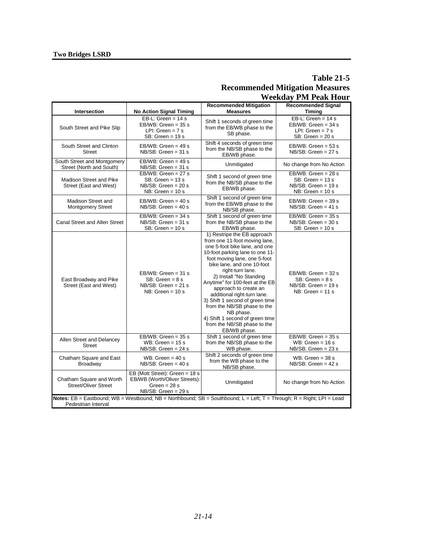## **Table 21-5 Recommended Mitigation Measures Weekday PM Peak Hour**

|                                                         |                                                                                                             |                                                                                                                                                                                                                                                                                                                                                                                                                                                                                                           | - - - - - <del>-</del>                                                                     |
|---------------------------------------------------------|-------------------------------------------------------------------------------------------------------------|-----------------------------------------------------------------------------------------------------------------------------------------------------------------------------------------------------------------------------------------------------------------------------------------------------------------------------------------------------------------------------------------------------------------------------------------------------------------------------------------------------------|--------------------------------------------------------------------------------------------|
| Intersection                                            | <b>No Action Signal Timing</b>                                                                              | <b>Recommended Mitigation</b><br><b>Measures</b>                                                                                                                                                                                                                                                                                                                                                                                                                                                          | <b>Recommended Signal</b><br><b>Timing</b>                                                 |
| South Street and Pike Slip                              | EB-L: Green = $14 s$<br>$EB/WB$ : Green = 35 s<br>LPI: Green = $7 s$<br>$SB: Green = 19s$                   | Shift 1 seconds of green time<br>from the EB/WB phase to the<br>SB phase.                                                                                                                                                                                                                                                                                                                                                                                                                                 | EB-L: Green = $14 s$<br>$EB/WB$ : Green = 34 s<br>LPI: Green = $7 s$<br>$SB: Green = 20s$  |
| South Street and Clinton<br><b>Street</b>               | $EB/WB$ : Green = 49 s<br>$NB/SB$ : Green = 31 s                                                            | Shift 4 seconds of green time<br>from the NB/SB phase to the<br>EB/WB phase.                                                                                                                                                                                                                                                                                                                                                                                                                              | $EB/WB$ : Green = 53 s<br>$NB/SB$ : Green = 27 s                                           |
| South Street and Montgomery<br>Street (North and South) | $EB/WB$ : Green = 49 s<br>$NB/SB$ : Green = 31 s                                                            | Unmitigated                                                                                                                                                                                                                                                                                                                                                                                                                                                                                               | No change from No Action                                                                   |
| Madison Street and Pike<br>Street (East and West)       | EB/WB: Green = $27 s$<br>$SB: Green = 13 s$<br>$NB/SB$ : Green = 20 s<br>$NB: Green = 10s$                  | Shift 1 second of green time<br>from the NB/SB phase to the<br>EB/WB phase.                                                                                                                                                                                                                                                                                                                                                                                                                               | $EB/WB$ : Green = 28 s<br>$SB: Green = 13s$<br>$NB/SB$ : Green = 19 s<br>$NB: Green = 10s$ |
| Madison Street and<br><b>Montgomery Street</b>          | $EB/WB$ : Green = 40 s<br>$NB/SB$ : Green = 40 s                                                            | Shift 1 second of green time<br>from the EB/WB phase to the<br>NB/SB phase.                                                                                                                                                                                                                                                                                                                                                                                                                               | $EB/WB$ : Green = 39 s<br>$NB/SB$ : Green = 41 s                                           |
| Canal Street and Allen Street                           | EB/WB: Green = $34 s$<br>$NB/SB$ : Green = 31 s<br>$SB: Green = 10s$                                        | Shift 1 second of green time<br>from the NB/SB phase to the<br>EB/WB phase.                                                                                                                                                                                                                                                                                                                                                                                                                               | $EB/WB$ : Green = 35 s<br>$NB/SB$ : Green = 30 s<br>$SB: Green = 10s$                      |
| East Broadway and Pike<br>Street (East and West)        | $EB/WB$ : Green = 31 s<br>$SB: Green = 8s$<br>$NB/SB$ : Green = 21 s<br>$NB: Green = 10s$                   | 1) Restripe the EB approach<br>from one 11-foot moving lane,<br>one 5-foot bike lane, and one<br>10-foot parking lane to one 11-<br>foot moving lane, one 5-foot<br>bike lane, and one 10-foot<br>right-turn lane.<br>2) Install "No Standing<br>Anytime" for 100-feet at the EB<br>approach to create an<br>additional right-turn lane.<br>3) Shift 1 second of green time<br>from the NB/SB phase to the<br>NB phase.<br>4) Shift 1 second of green time<br>from the NB/SB phase to the<br>EB/WB phase. | $EB/WB$ : Green = 32 s<br>$SB: Green = 8s$<br>$NB/SB$ : Green = 19 s<br>$NB: Green = 11 s$ |
| Allen Street and Delancey<br><b>Street</b>              | EB/WB: Green = $35 s$<br>WB: Green = $15 s$<br>$NB/SB$ : Green = 24 s                                       | Shift 1 second of green time<br>from the NB/SB phase to the<br>WB phase.                                                                                                                                                                                                                                                                                                                                                                                                                                  | $EB/WB$ : Green = 35 s<br>WB: Green = $16 s$<br>$NB/SB$ : Green = 23 s                     |
| Chatham Square and East<br>Broadway                     | WB: Green = $40 s$<br>$NB/SB$ : Green = 40 s                                                                | Shift 2 seconds of green time<br>from the WB phase to the<br>NB/SB phase.                                                                                                                                                                                                                                                                                                                                                                                                                                 | WB: Green = $38 s$<br>$NB/SB$ : Green = 42 s                                               |
| Chatham Square and Worth<br><b>Street/Oliver Street</b> | EB (Mott Street): Green = 18 s<br>EB/WB (Worth/Oliver Streets):<br>Green = $28 s$<br>$NB/SB$ : Green = 29 s | Unmitigated                                                                                                                                                                                                                                                                                                                                                                                                                                                                                               | No change from No Action                                                                   |
| Pedestrian Interval                                     |                                                                                                             | Notes: EB = Eastbound; WB = Westbound; NB = Northbound; SB = Southbound; L = Left; T = Through; R = Right; LPI = Lead                                                                                                                                                                                                                                                                                                                                                                                     |                                                                                            |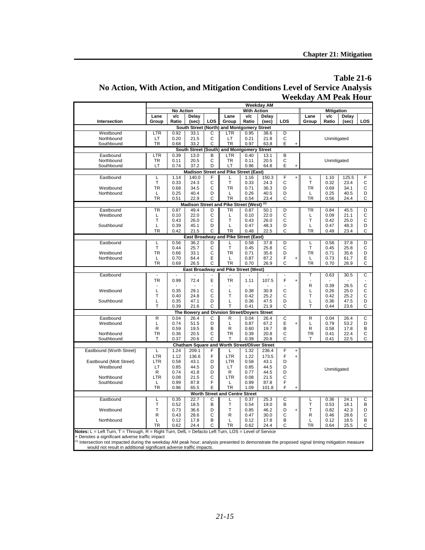## **Table 21-6 No Action, With Action, and Mitigation Conditions Level of Service Analysis Weekday AM Peak Hour**

|                          | <b>Weekday AM</b> |                  |               |                   |                                               |                    |               |                |                |           |                   |               |        |
|--------------------------|-------------------|------------------|---------------|-------------------|-----------------------------------------------|--------------------|---------------|----------------|----------------|-----------|-------------------|---------------|--------|
|                          |                   | <b>No Action</b> |               |                   |                                               | <b>With Action</b> |               |                |                |           | <b>Mitigation</b> |               |        |
|                          | Lane              | $\sqrt{c}$       | Delay         |                   | Lane                                          | $\sqrt{c}$         | Delay         |                |                | Lane      | v/c               | Delay         |        |
| Intersection             | Group             | Ratio            | (sec)         | LOS               | Group                                         | Ratio              | (sec)         | LOS            |                | Group     | Ratio             | (sec)         | LOS    |
|                          |                   |                  |               |                   | South Street (North) and Montgomery Street    |                    |               |                |                |           |                   |               |        |
| Westbound                | LTR               | 0.92             | 33.1          | С                 | LTR                                           | 0.95               | 38.6          | D              |                |           |                   |               |        |
| Northbound               | LT                | 0.20             | 21.5          | C                 | LT                                            | 0.21               | 21.8          | C              |                |           | Unmitigated       |               |        |
| Southbound               | <b>TR</b>         | 0.68             | 33.2          | C                 | TR                                            | 0.97               | 63.8          | E              | ÷              |           |                   |               |        |
|                          |                   |                  |               |                   | South Street (South) and Montgomery Street    |                    |               |                |                |           |                   |               |        |
| Eastbound                | LTR               | 0.39             | 13.0          | B                 | LTR                                           | 0.40               | 13.1          | B              |                |           |                   |               |        |
| Northbound               | TR                | 0.11             | 20.5          | $\mathsf{C}$<br>D | <b>TR</b>                                     | 0.11               | 20.5          | C              |                |           | Unmitigated       |               |        |
| Southbound               | LT                | 0.74             | 37.2          |                   | LT                                            | 0.96               | 64.8          | E              | $\ddot{}$      |           |                   |               |        |
|                          |                   |                  |               |                   | Madison Street and Pike Street (East)         |                    |               |                |                |           |                   |               |        |
| Eastbound                | L<br>Т            | 1.14<br>0.33     | 140.0<br>24.3 | F<br>C            | L<br>$\top$                                   | 1.16<br>0.33       | 150.3<br>24.3 | F<br>C         | $\ddot{}$      | L<br>T    | 1.10<br>0.32      | 125.5<br>23.4 | F<br>C |
| Westbound                | <b>TR</b>         | 0.68             | 34.5          | C                 | <b>TR</b>                                     | 0.71               | 36.3          | D              |                | <b>TR</b> | 0.69              | 34.1          | C      |
| Northbound               | Г                 | 0.25             | 40.4          | D                 | L                                             | 0.26               | 40.5          | D              |                | Г         | 0.25              | 40.5          | D      |
|                          | <b>TR</b>         | 0.51             | 22.9          | C                 | <b>TR</b>                                     | 0.54               | 23.4          | C              |                | <b>TR</b> | 0.56              | 24.4          | C      |
|                          |                   |                  |               |                   | Madison Street and Pike Street (West) (1)     |                    |               |                |                |           |                   |               |        |
| Eastbound                | <b>TR</b>         | 0.87             | 49.4          | D                 | TR                                            | 0.87               | 50.1          | D              |                | TR        | 0.84              | 45.5          | D      |
| Westbound                | L                 | 0.10             | 22.0          | C                 | L                                             | 0.10               | 22.0          | C              |                | L         | 0.09              | 21.1          | С      |
|                          | T                 | 0.43             | 26.0          | C                 | T                                             | 0.43               | 26.0          | C              |                | T         | 0.42              | 25.0          | C      |
| Southbound               | L                 | 0.39             | 45.1          | D                 | L                                             | 0.47               | 48.3          | D              |                | Г         | 0.47              | 48.3          | D      |
|                          | TR                | 0.42             | 21.5          | C                 | <b>TR</b>                                     | 0.48               | 22.5          | C              |                | <b>TR</b> | 0.49              | 23.4          | C      |
|                          |                   |                  |               |                   | East Broadway and Pike Street (East)          |                    |               |                |                |           |                   |               |        |
| Eastbound                | L                 | 0.56             | 36.2          | D                 | L                                             | 0.58               | 37.8          | D              |                | L         | 0.58              | 37.8          | D      |
|                          | Т                 | 0.44             | 25.7          | C                 | T                                             | 0.45               | 25.8          | C              |                | T         | 0.45              | 25.8          | C      |
| Westbound                | <b>TR</b>         | 0.66             | 33.1          | $\mathsf{C}$      | <b>TR</b>                                     | 0.71               | 35.6          | D              |                | <b>TR</b> | 0.71              | 35.6          | D      |
| Northbound               | L                 | 0.70             | 64.4          | E                 | L                                             | 0.87               | 87.2          | F              | $\ddot{}$      | L         | 0.73              | 61.7          | E      |
|                          | TR                | 0.69             | 26.5          | Ć                 | <b>TR</b>                                     | 0.70               | 26.9          | C              |                | <b>TR</b> | 0.70              | 26.9          | C      |
|                          | ÷,                | $\overline{a}$   |               |                   | <b>East Broadway and Pike Street (West)</b>   |                    |               | $\overline{a}$ |                |           |                   |               | C      |
| Eastbound                | <b>TR</b>         | 0.99             | 72.4          | E                 | <b>TR</b>                                     | 1.11               | 107.5         | F              | $\overline{1}$ | T         | 0.63              | 30.5          |        |
|                          |                   |                  |               |                   |                                               |                    |               |                |                | R         | 0.39              | 26.5          | C      |
| Westbound                | L                 | 0.35             | 29.1          | $\mathsf{C}$      | L                                             | 0.38               | 30.9          | C              |                | L         | 0.26              | 25.0          | C      |
|                          | T                 | 0.40             | 24.8          | C                 | T                                             | 0.42               | 25.2          | C              |                | T         | 0.42              | 25.2          | C      |
| Southbound               | Г                 | 0.35             | 47.1          | D                 | L                                             | 0.36               | 47.5          | D              |                | L         | 0.36              | 47.5          | D      |
|                          | T                 | 0.39             | 21.6          | C                 | T                                             | 0.41               | 21.9          | C              |                | T         | 0.44              | 23.6          | C      |
|                          |                   |                  |               |                   | The Bowery and Division Street/Doyers Street  |                    |               |                |                |           |                   |               |        |
| Eastbound                | R                 | 0.04             | 26.4          | C                 | R                                             | 0.04               | 26.4          | C              |                | R         | 0.04              | 26.4          | C      |
| Westbound                | L                 | 0.74             | 51.5          | D                 | L                                             | 0.87               | 67.2          | E              | $\overline{1}$ | L         | 0.79              | 53.2          | D      |
|                          | R                 | 0.59             | 19.5          | B                 | $\mathsf{R}$                                  | 0.60               | 19.7          | B              |                | R         | 0.58              | 17.8          | B      |
| Northbound               | TR                | 0.36             | 20.5          | C<br>C            | <b>TR</b><br>T                                | 0.39               | 20.8          | C<br>C         |                | TR<br>T   | 0.41              | 22.4          | C      |
| Southbound               | T                 | 0.37             | 20.6          |                   |                                               | 0.39               | 20.8          |                |                |           | 0.41              | 22.5          | C      |
| Eastbound (Worth Street) |                   | 1.24             | 209.1         | F                 | Chatham Square and Worth Street/Oliver Street | 1.32               | 236.4         | F              |                |           |                   |               |        |
|                          | L<br><b>LTR</b>   | 1.12             | 136.6         | F                 | L<br><b>LTR</b>                               | 1.22               | 173.5         | F              | $\ddot{}$      |           |                   |               |        |
| Eastbound (Mott Street)  | LTR               | 0.58             | 43.1          | D                 | LTR                                           | 0.58               | 43.1          | D              | $\ddot{}$      |           |                   |               |        |
| Westbound                | LT                | 0.85             | 44.5          | D                 | LT                                            | 0.85               | 44.5          | D              |                |           |                   |               |        |
|                          | R                 | 0.74             | 41.8          | D                 | R                                             | 0.77               | 44.5          | D              |                |           | Unmitigated       |               |        |
| Northbound               | LTR               | 0.08             | 21.5          | C                 | LTR                                           | 0.08               | 21.5          | C              |                |           |                   |               |        |
| Southbound               | L                 | 0.99             | 87.8          | F                 | Г                                             | 0.99               | 87.8          | F              |                |           |                   |               |        |
|                          | <b>TR</b>         | 0.96             | 65.5          | E                 | <b>TR</b>                                     | 1.09               | 101.8         | F              |                |           |                   |               |        |
|                          |                   |                  |               |                   | <b>Worth Street and Centre Street</b>         |                    |               |                |                |           |                   |               |        |
| Eastbound                | L                 | 0.35             | 22.7          | С                 | L                                             | 0.37               | 25.3          | С              |                | L         | 0.36              | 24.1          | C      |
|                          | Т                 | 0.52             | 18.5          | B                 | T                                             | 0.54               | 19.0          | B              |                | T         | 0.53              | 18.1          | B      |
| Westbound                | T                 | 0.73             | 36.6          | D                 | T                                             | 0.85               | 46.2          | D              |                | T         | 0.82              | 42.3          | D      |
|                          | R                 | 0.43             | 28.6          | C                 | $\mathsf{R}$                                  | 0.47               | 30.0          | C              |                | R         | 0.46              | 28.6          | С      |
| Northbound               | L                 | 0.12             | 17.8          | B                 | L                                             | 0.12               | 17.8          | B              |                | L         | 0.12              | 18.5          | B      |
|                          | TR                | 0.62             | 24.4          | C                 | <b>TR</b>                                     | 0.62               | 24.4          | C              |                | TR        | 0.64              | 25.5          | C      |

**Notes:** L = Left Turn, T = Through, R = Right Turn, DefL = Defacto Left Turn, LOS = Level of Service<br>+ Denotes a significant adverse traffic impact<br><sup>(1)</sup> Intersection not impacted during the weekday AM peak hour; analysis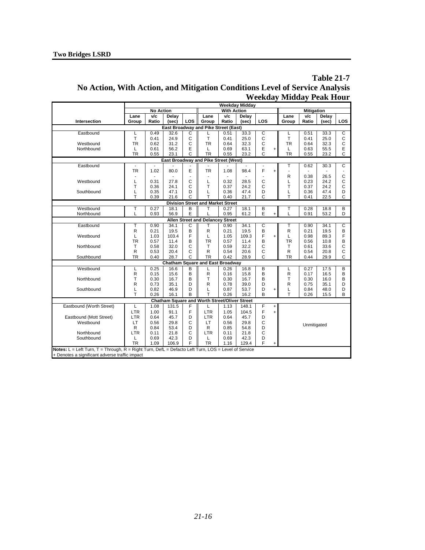## **Table 21-7 No Action, With Action, and Mitigation Conditions Level of Service Analysis Weekday Midday Peak Hour**

| <b>No Action</b><br><b>With Action</b><br><b>Mitigation</b><br>V/c<br>Delay<br>Lane<br>v/c<br>Delay<br>Lane<br>v/c<br>Delay<br>Lane<br>LOS<br>Intersection<br>LOS<br>Group<br>Ratio<br>Ratio<br>LOS<br>Group<br>Ratio<br>(sec)<br>(sec)<br>Group<br>(sec)<br><b>East Broadway and Pike Street (East)</b><br>С<br>C<br>Eastbound<br>0.49<br>32.6<br>33.3<br>0.51<br>33.3<br>С<br>0.51<br>L<br>L<br>T<br>C<br>T<br>C<br>T<br>C<br>0.41<br>24.9<br>0.41<br>25.0<br>0.41<br>25.0<br>$\mathsf{C}$<br>C<br>C<br><b>TR</b><br><b>TR</b><br>Westbound<br>31.2<br><b>TR</b><br>32.3<br>0.62<br>0.64<br>0.64<br>32.3<br>E<br>E<br>E<br>Northbound<br>0.61<br>56.2<br>0.69<br>63.1<br>0.63<br>55.5<br>L<br>L<br>L<br>$\ddot{}$<br>C<br>C<br>C<br><b>TR</b><br><b>TR</b><br><b>TR</b><br>0.55<br>23.1<br>0.55<br>23.2<br>0.55<br>23.2<br>East Broadway and Pike Street (West)<br>C<br>Eastbound<br>T<br>0.62<br>30.3<br>E<br>F<br><b>TR</b><br>80.0<br><b>TR</b><br>98.4<br>1.02<br>1.08<br>÷,<br>$\mathsf{C}$<br>R<br>0.38<br>26.5<br>C<br>C<br>$\mathsf{C}$<br>Westbound<br>0.31<br>27.8<br>L<br>0.23<br>24.2<br>L<br>0.32<br>28.5<br>L<br>T<br>C<br>T<br>C<br>T<br>C<br>0.36<br>24.1<br>0.37<br>24.2<br>0.37<br>24.2<br>Southbound<br>D<br>47.4<br>D<br>D<br>0.35<br>47.1<br>L<br>0.36<br>L<br>0.36<br>47.4<br>L<br>T<br>T<br>T<br>C<br>C<br>С<br>0.39<br>21.6<br>0.40<br>21.7<br>0.41<br>22.5<br><b>Division Street and Market Street</b><br>Westbound<br>0.27<br>B<br>T<br>B<br>0.28<br>B<br>Т<br>18.1<br>0.27<br>18.1<br>18.8<br>т<br>E<br>E<br>L<br>Northbound<br>56.9<br>0.95<br>61.2<br>0.91<br>53.2<br>D<br>0.93<br>$\ddot{}$<br><b>Allen Street and Delancey Street</b><br>C<br>С<br>C<br>Eastbound<br>Т<br>0.90<br>34.1<br>0.90<br>34.1<br>34.1<br>т<br>0.90<br>Т<br>B<br>R<br>B<br>$\mathsf{R}$<br>0.21<br>19.5<br>19.5<br>R<br>0.21<br>19.5<br>B<br>0.21<br>F<br>F<br>F<br>Westbound<br>L<br>1.03<br>103.4<br>L<br>1.05<br>109.3<br>L<br>0.98<br>89.3<br>$\ddot{}$<br><b>TR</b><br>B<br><b>TR</b><br>B<br><b>TR</b><br>0.57<br>11.4<br>0.57<br>11.4<br>B<br>0.56<br>10.8<br>C<br>C<br>C<br>Northbound<br>T<br>32.0<br>т<br>32.2<br>T<br>33.6<br>0.58<br>0.59<br>0.61<br>C<br>$\mathsf{R}$<br>С<br>R<br>С<br>0.53<br>20.4<br>0.54<br>20.6<br>R<br>0.54<br>20.8<br>C<br><b>TR</b><br>C<br>Southbound<br><b>TR</b><br>28.7<br>C<br><b>TR</b><br>0.40<br>0.42<br>28.9<br>0.44<br>29.9<br><b>Chatham Square and East Broadway</b><br>Westbound<br>0.25<br>16.6<br>B<br>0.26<br>B<br>0.27<br>17.5<br>B<br>16.8<br>L<br>L<br>B<br>B<br>R<br>R<br>R<br>B<br>0.15<br>15.6<br>0.16<br>15.8<br>0.17<br>16.5<br>T<br>Northbound<br>B<br>T<br>B<br>T<br>0.30<br>16.7<br>0.30<br>16.7<br>0.30<br>16.0<br>В<br>R<br>D<br>R<br>D<br>R<br>0.73<br>35.1<br>0.78<br>39.0<br>0.75<br>35.1<br>D<br>Southbound<br>0.82<br>46.9<br>D<br>0.87<br>53.7<br>D<br>0.84<br>D<br>L<br>L<br>L<br>48.0<br>$\ddot{}$<br>T<br>T<br>B<br>0.26<br>B<br>T<br>B<br>0.26<br>16.1<br>16.2<br>0.26<br>15.5<br>Chatham Square and Worth Street/Oliver Street<br>Eastbound (Worth Street)<br>1.13<br>F<br>1.08<br>131.5<br>F<br>148.1<br>L<br>$+$<br>F<br>F<br>LTR<br>LTR<br>1.00<br>104.5<br>91.1<br>1.05<br>$+$<br>Eastbound (Mott Street)<br>45.7<br>D<br><b>LTR</b><br>45.7<br>D<br>LTR<br>0.64<br>0.64<br>C<br>C<br>Westbound<br>LT<br>0.56<br>29.8<br>LT<br>0.56<br>29.8<br>Unmitigated<br>D<br>D<br>R<br>0.84<br>53.4<br>R<br>0.85<br>54.8<br>C<br>C<br>Northbound<br><b>LTR</b><br><b>LTR</b><br>0.11<br>21.8<br>0.11<br>21.8<br>Southbound<br>0.69<br>42.3<br>D<br>0.69<br>42.3<br>D<br>L<br>L<br>F<br>F<br><b>TR</b><br><b>TR</b><br>1.09<br>106.9<br>1.16<br>129.4<br>$\ddot{}$<br>Notes: L = Left Turn, T = Through, R = Right Turn, DefL = Defacto Left Turn, LOS = Level of Service |                                                |  |  |  | <b>Weekday Midday</b> |  |  |  |
|----------------------------------------------------------------------------------------------------------------------------------------------------------------------------------------------------------------------------------------------------------------------------------------------------------------------------------------------------------------------------------------------------------------------------------------------------------------------------------------------------------------------------------------------------------------------------------------------------------------------------------------------------------------------------------------------------------------------------------------------------------------------------------------------------------------------------------------------------------------------------------------------------------------------------------------------------------------------------------------------------------------------------------------------------------------------------------------------------------------------------------------------------------------------------------------------------------------------------------------------------------------------------------------------------------------------------------------------------------------------------------------------------------------------------------------------------------------------------------------------------------------------------------------------------------------------------------------------------------------------------------------------------------------------------------------------------------------------------------------------------------------------------------------------------------------------------------------------------------------------------------------------------------------------------------------------------------------------------------------------------------------------------------------------------------------------------------------------------------------------------------------------------------------------------------------------------------------------------------------------------------------------------------------------------------------------------------------------------------------------------------------------------------------------------------------------------------------------------------------------------------------------------------------------------------------------------------------------------------------------------------------------------------------------------------------------------------------------------------------------------------------------------------------------------------------------------------------------------------------------------------------------------------------------------------------------------------------------------------------------------------------------------------------------------------------------------------------------------------------------------------------------------------------------------------------------------------------------------------------------------------------------------------------------------------------------------------------------------------------------------------------------------------------------------------------------------------------------------------------------------------------------------------------------------------------------------------------------------------------------------------------------------------------------------------------------------------------------------------------------------------|------------------------------------------------|--|--|--|-----------------------|--|--|--|
|                                                                                                                                                                                                                                                                                                                                                                                                                                                                                                                                                                                                                                                                                                                                                                                                                                                                                                                                                                                                                                                                                                                                                                                                                                                                                                                                                                                                                                                                                                                                                                                                                                                                                                                                                                                                                                                                                                                                                                                                                                                                                                                                                                                                                                                                                                                                                                                                                                                                                                                                                                                                                                                                                                                                                                                                                                                                                                                                                                                                                                                                                                                                                                                                                                                                                                                                                                                                                                                                                                                                                                                                                                                                                                                                                          |                                                |  |  |  |                       |  |  |  |
|                                                                                                                                                                                                                                                                                                                                                                                                                                                                                                                                                                                                                                                                                                                                                                                                                                                                                                                                                                                                                                                                                                                                                                                                                                                                                                                                                                                                                                                                                                                                                                                                                                                                                                                                                                                                                                                                                                                                                                                                                                                                                                                                                                                                                                                                                                                                                                                                                                                                                                                                                                                                                                                                                                                                                                                                                                                                                                                                                                                                                                                                                                                                                                                                                                                                                                                                                                                                                                                                                                                                                                                                                                                                                                                                                          |                                                |  |  |  |                       |  |  |  |
|                                                                                                                                                                                                                                                                                                                                                                                                                                                                                                                                                                                                                                                                                                                                                                                                                                                                                                                                                                                                                                                                                                                                                                                                                                                                                                                                                                                                                                                                                                                                                                                                                                                                                                                                                                                                                                                                                                                                                                                                                                                                                                                                                                                                                                                                                                                                                                                                                                                                                                                                                                                                                                                                                                                                                                                                                                                                                                                                                                                                                                                                                                                                                                                                                                                                                                                                                                                                                                                                                                                                                                                                                                                                                                                                                          |                                                |  |  |  |                       |  |  |  |
|                                                                                                                                                                                                                                                                                                                                                                                                                                                                                                                                                                                                                                                                                                                                                                                                                                                                                                                                                                                                                                                                                                                                                                                                                                                                                                                                                                                                                                                                                                                                                                                                                                                                                                                                                                                                                                                                                                                                                                                                                                                                                                                                                                                                                                                                                                                                                                                                                                                                                                                                                                                                                                                                                                                                                                                                                                                                                                                                                                                                                                                                                                                                                                                                                                                                                                                                                                                                                                                                                                                                                                                                                                                                                                                                                          |                                                |  |  |  |                       |  |  |  |
|                                                                                                                                                                                                                                                                                                                                                                                                                                                                                                                                                                                                                                                                                                                                                                                                                                                                                                                                                                                                                                                                                                                                                                                                                                                                                                                                                                                                                                                                                                                                                                                                                                                                                                                                                                                                                                                                                                                                                                                                                                                                                                                                                                                                                                                                                                                                                                                                                                                                                                                                                                                                                                                                                                                                                                                                                                                                                                                                                                                                                                                                                                                                                                                                                                                                                                                                                                                                                                                                                                                                                                                                                                                                                                                                                          |                                                |  |  |  |                       |  |  |  |
|                                                                                                                                                                                                                                                                                                                                                                                                                                                                                                                                                                                                                                                                                                                                                                                                                                                                                                                                                                                                                                                                                                                                                                                                                                                                                                                                                                                                                                                                                                                                                                                                                                                                                                                                                                                                                                                                                                                                                                                                                                                                                                                                                                                                                                                                                                                                                                                                                                                                                                                                                                                                                                                                                                                                                                                                                                                                                                                                                                                                                                                                                                                                                                                                                                                                                                                                                                                                                                                                                                                                                                                                                                                                                                                                                          |                                                |  |  |  |                       |  |  |  |
|                                                                                                                                                                                                                                                                                                                                                                                                                                                                                                                                                                                                                                                                                                                                                                                                                                                                                                                                                                                                                                                                                                                                                                                                                                                                                                                                                                                                                                                                                                                                                                                                                                                                                                                                                                                                                                                                                                                                                                                                                                                                                                                                                                                                                                                                                                                                                                                                                                                                                                                                                                                                                                                                                                                                                                                                                                                                                                                                                                                                                                                                                                                                                                                                                                                                                                                                                                                                                                                                                                                                                                                                                                                                                                                                                          |                                                |  |  |  |                       |  |  |  |
|                                                                                                                                                                                                                                                                                                                                                                                                                                                                                                                                                                                                                                                                                                                                                                                                                                                                                                                                                                                                                                                                                                                                                                                                                                                                                                                                                                                                                                                                                                                                                                                                                                                                                                                                                                                                                                                                                                                                                                                                                                                                                                                                                                                                                                                                                                                                                                                                                                                                                                                                                                                                                                                                                                                                                                                                                                                                                                                                                                                                                                                                                                                                                                                                                                                                                                                                                                                                                                                                                                                                                                                                                                                                                                                                                          |                                                |  |  |  |                       |  |  |  |
|                                                                                                                                                                                                                                                                                                                                                                                                                                                                                                                                                                                                                                                                                                                                                                                                                                                                                                                                                                                                                                                                                                                                                                                                                                                                                                                                                                                                                                                                                                                                                                                                                                                                                                                                                                                                                                                                                                                                                                                                                                                                                                                                                                                                                                                                                                                                                                                                                                                                                                                                                                                                                                                                                                                                                                                                                                                                                                                                                                                                                                                                                                                                                                                                                                                                                                                                                                                                                                                                                                                                                                                                                                                                                                                                                          |                                                |  |  |  |                       |  |  |  |
|                                                                                                                                                                                                                                                                                                                                                                                                                                                                                                                                                                                                                                                                                                                                                                                                                                                                                                                                                                                                                                                                                                                                                                                                                                                                                                                                                                                                                                                                                                                                                                                                                                                                                                                                                                                                                                                                                                                                                                                                                                                                                                                                                                                                                                                                                                                                                                                                                                                                                                                                                                                                                                                                                                                                                                                                                                                                                                                                                                                                                                                                                                                                                                                                                                                                                                                                                                                                                                                                                                                                                                                                                                                                                                                                                          |                                                |  |  |  |                       |  |  |  |
|                                                                                                                                                                                                                                                                                                                                                                                                                                                                                                                                                                                                                                                                                                                                                                                                                                                                                                                                                                                                                                                                                                                                                                                                                                                                                                                                                                                                                                                                                                                                                                                                                                                                                                                                                                                                                                                                                                                                                                                                                                                                                                                                                                                                                                                                                                                                                                                                                                                                                                                                                                                                                                                                                                                                                                                                                                                                                                                                                                                                                                                                                                                                                                                                                                                                                                                                                                                                                                                                                                                                                                                                                                                                                                                                                          |                                                |  |  |  |                       |  |  |  |
|                                                                                                                                                                                                                                                                                                                                                                                                                                                                                                                                                                                                                                                                                                                                                                                                                                                                                                                                                                                                                                                                                                                                                                                                                                                                                                                                                                                                                                                                                                                                                                                                                                                                                                                                                                                                                                                                                                                                                                                                                                                                                                                                                                                                                                                                                                                                                                                                                                                                                                                                                                                                                                                                                                                                                                                                                                                                                                                                                                                                                                                                                                                                                                                                                                                                                                                                                                                                                                                                                                                                                                                                                                                                                                                                                          |                                                |  |  |  |                       |  |  |  |
|                                                                                                                                                                                                                                                                                                                                                                                                                                                                                                                                                                                                                                                                                                                                                                                                                                                                                                                                                                                                                                                                                                                                                                                                                                                                                                                                                                                                                                                                                                                                                                                                                                                                                                                                                                                                                                                                                                                                                                                                                                                                                                                                                                                                                                                                                                                                                                                                                                                                                                                                                                                                                                                                                                                                                                                                                                                                                                                                                                                                                                                                                                                                                                                                                                                                                                                                                                                                                                                                                                                                                                                                                                                                                                                                                          |                                                |  |  |  |                       |  |  |  |
|                                                                                                                                                                                                                                                                                                                                                                                                                                                                                                                                                                                                                                                                                                                                                                                                                                                                                                                                                                                                                                                                                                                                                                                                                                                                                                                                                                                                                                                                                                                                                                                                                                                                                                                                                                                                                                                                                                                                                                                                                                                                                                                                                                                                                                                                                                                                                                                                                                                                                                                                                                                                                                                                                                                                                                                                                                                                                                                                                                                                                                                                                                                                                                                                                                                                                                                                                                                                                                                                                                                                                                                                                                                                                                                                                          |                                                |  |  |  |                       |  |  |  |
|                                                                                                                                                                                                                                                                                                                                                                                                                                                                                                                                                                                                                                                                                                                                                                                                                                                                                                                                                                                                                                                                                                                                                                                                                                                                                                                                                                                                                                                                                                                                                                                                                                                                                                                                                                                                                                                                                                                                                                                                                                                                                                                                                                                                                                                                                                                                                                                                                                                                                                                                                                                                                                                                                                                                                                                                                                                                                                                                                                                                                                                                                                                                                                                                                                                                                                                                                                                                                                                                                                                                                                                                                                                                                                                                                          |                                                |  |  |  |                       |  |  |  |
|                                                                                                                                                                                                                                                                                                                                                                                                                                                                                                                                                                                                                                                                                                                                                                                                                                                                                                                                                                                                                                                                                                                                                                                                                                                                                                                                                                                                                                                                                                                                                                                                                                                                                                                                                                                                                                                                                                                                                                                                                                                                                                                                                                                                                                                                                                                                                                                                                                                                                                                                                                                                                                                                                                                                                                                                                                                                                                                                                                                                                                                                                                                                                                                                                                                                                                                                                                                                                                                                                                                                                                                                                                                                                                                                                          |                                                |  |  |  |                       |  |  |  |
|                                                                                                                                                                                                                                                                                                                                                                                                                                                                                                                                                                                                                                                                                                                                                                                                                                                                                                                                                                                                                                                                                                                                                                                                                                                                                                                                                                                                                                                                                                                                                                                                                                                                                                                                                                                                                                                                                                                                                                                                                                                                                                                                                                                                                                                                                                                                                                                                                                                                                                                                                                                                                                                                                                                                                                                                                                                                                                                                                                                                                                                                                                                                                                                                                                                                                                                                                                                                                                                                                                                                                                                                                                                                                                                                                          |                                                |  |  |  |                       |  |  |  |
|                                                                                                                                                                                                                                                                                                                                                                                                                                                                                                                                                                                                                                                                                                                                                                                                                                                                                                                                                                                                                                                                                                                                                                                                                                                                                                                                                                                                                                                                                                                                                                                                                                                                                                                                                                                                                                                                                                                                                                                                                                                                                                                                                                                                                                                                                                                                                                                                                                                                                                                                                                                                                                                                                                                                                                                                                                                                                                                                                                                                                                                                                                                                                                                                                                                                                                                                                                                                                                                                                                                                                                                                                                                                                                                                                          |                                                |  |  |  |                       |  |  |  |
|                                                                                                                                                                                                                                                                                                                                                                                                                                                                                                                                                                                                                                                                                                                                                                                                                                                                                                                                                                                                                                                                                                                                                                                                                                                                                                                                                                                                                                                                                                                                                                                                                                                                                                                                                                                                                                                                                                                                                                                                                                                                                                                                                                                                                                                                                                                                                                                                                                                                                                                                                                                                                                                                                                                                                                                                                                                                                                                                                                                                                                                                                                                                                                                                                                                                                                                                                                                                                                                                                                                                                                                                                                                                                                                                                          |                                                |  |  |  |                       |  |  |  |
|                                                                                                                                                                                                                                                                                                                                                                                                                                                                                                                                                                                                                                                                                                                                                                                                                                                                                                                                                                                                                                                                                                                                                                                                                                                                                                                                                                                                                                                                                                                                                                                                                                                                                                                                                                                                                                                                                                                                                                                                                                                                                                                                                                                                                                                                                                                                                                                                                                                                                                                                                                                                                                                                                                                                                                                                                                                                                                                                                                                                                                                                                                                                                                                                                                                                                                                                                                                                                                                                                                                                                                                                                                                                                                                                                          |                                                |  |  |  |                       |  |  |  |
|                                                                                                                                                                                                                                                                                                                                                                                                                                                                                                                                                                                                                                                                                                                                                                                                                                                                                                                                                                                                                                                                                                                                                                                                                                                                                                                                                                                                                                                                                                                                                                                                                                                                                                                                                                                                                                                                                                                                                                                                                                                                                                                                                                                                                                                                                                                                                                                                                                                                                                                                                                                                                                                                                                                                                                                                                                                                                                                                                                                                                                                                                                                                                                                                                                                                                                                                                                                                                                                                                                                                                                                                                                                                                                                                                          |                                                |  |  |  |                       |  |  |  |
|                                                                                                                                                                                                                                                                                                                                                                                                                                                                                                                                                                                                                                                                                                                                                                                                                                                                                                                                                                                                                                                                                                                                                                                                                                                                                                                                                                                                                                                                                                                                                                                                                                                                                                                                                                                                                                                                                                                                                                                                                                                                                                                                                                                                                                                                                                                                                                                                                                                                                                                                                                                                                                                                                                                                                                                                                                                                                                                                                                                                                                                                                                                                                                                                                                                                                                                                                                                                                                                                                                                                                                                                                                                                                                                                                          |                                                |  |  |  |                       |  |  |  |
|                                                                                                                                                                                                                                                                                                                                                                                                                                                                                                                                                                                                                                                                                                                                                                                                                                                                                                                                                                                                                                                                                                                                                                                                                                                                                                                                                                                                                                                                                                                                                                                                                                                                                                                                                                                                                                                                                                                                                                                                                                                                                                                                                                                                                                                                                                                                                                                                                                                                                                                                                                                                                                                                                                                                                                                                                                                                                                                                                                                                                                                                                                                                                                                                                                                                                                                                                                                                                                                                                                                                                                                                                                                                                                                                                          |                                                |  |  |  |                       |  |  |  |
|                                                                                                                                                                                                                                                                                                                                                                                                                                                                                                                                                                                                                                                                                                                                                                                                                                                                                                                                                                                                                                                                                                                                                                                                                                                                                                                                                                                                                                                                                                                                                                                                                                                                                                                                                                                                                                                                                                                                                                                                                                                                                                                                                                                                                                                                                                                                                                                                                                                                                                                                                                                                                                                                                                                                                                                                                                                                                                                                                                                                                                                                                                                                                                                                                                                                                                                                                                                                                                                                                                                                                                                                                                                                                                                                                          |                                                |  |  |  |                       |  |  |  |
|                                                                                                                                                                                                                                                                                                                                                                                                                                                                                                                                                                                                                                                                                                                                                                                                                                                                                                                                                                                                                                                                                                                                                                                                                                                                                                                                                                                                                                                                                                                                                                                                                                                                                                                                                                                                                                                                                                                                                                                                                                                                                                                                                                                                                                                                                                                                                                                                                                                                                                                                                                                                                                                                                                                                                                                                                                                                                                                                                                                                                                                                                                                                                                                                                                                                                                                                                                                                                                                                                                                                                                                                                                                                                                                                                          |                                                |  |  |  |                       |  |  |  |
|                                                                                                                                                                                                                                                                                                                                                                                                                                                                                                                                                                                                                                                                                                                                                                                                                                                                                                                                                                                                                                                                                                                                                                                                                                                                                                                                                                                                                                                                                                                                                                                                                                                                                                                                                                                                                                                                                                                                                                                                                                                                                                                                                                                                                                                                                                                                                                                                                                                                                                                                                                                                                                                                                                                                                                                                                                                                                                                                                                                                                                                                                                                                                                                                                                                                                                                                                                                                                                                                                                                                                                                                                                                                                                                                                          |                                                |  |  |  |                       |  |  |  |
|                                                                                                                                                                                                                                                                                                                                                                                                                                                                                                                                                                                                                                                                                                                                                                                                                                                                                                                                                                                                                                                                                                                                                                                                                                                                                                                                                                                                                                                                                                                                                                                                                                                                                                                                                                                                                                                                                                                                                                                                                                                                                                                                                                                                                                                                                                                                                                                                                                                                                                                                                                                                                                                                                                                                                                                                                                                                                                                                                                                                                                                                                                                                                                                                                                                                                                                                                                                                                                                                                                                                                                                                                                                                                                                                                          |                                                |  |  |  |                       |  |  |  |
|                                                                                                                                                                                                                                                                                                                                                                                                                                                                                                                                                                                                                                                                                                                                                                                                                                                                                                                                                                                                                                                                                                                                                                                                                                                                                                                                                                                                                                                                                                                                                                                                                                                                                                                                                                                                                                                                                                                                                                                                                                                                                                                                                                                                                                                                                                                                                                                                                                                                                                                                                                                                                                                                                                                                                                                                                                                                                                                                                                                                                                                                                                                                                                                                                                                                                                                                                                                                                                                                                                                                                                                                                                                                                                                                                          |                                                |  |  |  |                       |  |  |  |
|                                                                                                                                                                                                                                                                                                                                                                                                                                                                                                                                                                                                                                                                                                                                                                                                                                                                                                                                                                                                                                                                                                                                                                                                                                                                                                                                                                                                                                                                                                                                                                                                                                                                                                                                                                                                                                                                                                                                                                                                                                                                                                                                                                                                                                                                                                                                                                                                                                                                                                                                                                                                                                                                                                                                                                                                                                                                                                                                                                                                                                                                                                                                                                                                                                                                                                                                                                                                                                                                                                                                                                                                                                                                                                                                                          |                                                |  |  |  |                       |  |  |  |
|                                                                                                                                                                                                                                                                                                                                                                                                                                                                                                                                                                                                                                                                                                                                                                                                                                                                                                                                                                                                                                                                                                                                                                                                                                                                                                                                                                                                                                                                                                                                                                                                                                                                                                                                                                                                                                                                                                                                                                                                                                                                                                                                                                                                                                                                                                                                                                                                                                                                                                                                                                                                                                                                                                                                                                                                                                                                                                                                                                                                                                                                                                                                                                                                                                                                                                                                                                                                                                                                                                                                                                                                                                                                                                                                                          |                                                |  |  |  |                       |  |  |  |
|                                                                                                                                                                                                                                                                                                                                                                                                                                                                                                                                                                                                                                                                                                                                                                                                                                                                                                                                                                                                                                                                                                                                                                                                                                                                                                                                                                                                                                                                                                                                                                                                                                                                                                                                                                                                                                                                                                                                                                                                                                                                                                                                                                                                                                                                                                                                                                                                                                                                                                                                                                                                                                                                                                                                                                                                                                                                                                                                                                                                                                                                                                                                                                                                                                                                                                                                                                                                                                                                                                                                                                                                                                                                                                                                                          |                                                |  |  |  |                       |  |  |  |
|                                                                                                                                                                                                                                                                                                                                                                                                                                                                                                                                                                                                                                                                                                                                                                                                                                                                                                                                                                                                                                                                                                                                                                                                                                                                                                                                                                                                                                                                                                                                                                                                                                                                                                                                                                                                                                                                                                                                                                                                                                                                                                                                                                                                                                                                                                                                                                                                                                                                                                                                                                                                                                                                                                                                                                                                                                                                                                                                                                                                                                                                                                                                                                                                                                                                                                                                                                                                                                                                                                                                                                                                                                                                                                                                                          |                                                |  |  |  |                       |  |  |  |
|                                                                                                                                                                                                                                                                                                                                                                                                                                                                                                                                                                                                                                                                                                                                                                                                                                                                                                                                                                                                                                                                                                                                                                                                                                                                                                                                                                                                                                                                                                                                                                                                                                                                                                                                                                                                                                                                                                                                                                                                                                                                                                                                                                                                                                                                                                                                                                                                                                                                                                                                                                                                                                                                                                                                                                                                                                                                                                                                                                                                                                                                                                                                                                                                                                                                                                                                                                                                                                                                                                                                                                                                                                                                                                                                                          |                                                |  |  |  |                       |  |  |  |
|                                                                                                                                                                                                                                                                                                                                                                                                                                                                                                                                                                                                                                                                                                                                                                                                                                                                                                                                                                                                                                                                                                                                                                                                                                                                                                                                                                                                                                                                                                                                                                                                                                                                                                                                                                                                                                                                                                                                                                                                                                                                                                                                                                                                                                                                                                                                                                                                                                                                                                                                                                                                                                                                                                                                                                                                                                                                                                                                                                                                                                                                                                                                                                                                                                                                                                                                                                                                                                                                                                                                                                                                                                                                                                                                                          |                                                |  |  |  |                       |  |  |  |
|                                                                                                                                                                                                                                                                                                                                                                                                                                                                                                                                                                                                                                                                                                                                                                                                                                                                                                                                                                                                                                                                                                                                                                                                                                                                                                                                                                                                                                                                                                                                                                                                                                                                                                                                                                                                                                                                                                                                                                                                                                                                                                                                                                                                                                                                                                                                                                                                                                                                                                                                                                                                                                                                                                                                                                                                                                                                                                                                                                                                                                                                                                                                                                                                                                                                                                                                                                                                                                                                                                                                                                                                                                                                                                                                                          |                                                |  |  |  |                       |  |  |  |
|                                                                                                                                                                                                                                                                                                                                                                                                                                                                                                                                                                                                                                                                                                                                                                                                                                                                                                                                                                                                                                                                                                                                                                                                                                                                                                                                                                                                                                                                                                                                                                                                                                                                                                                                                                                                                                                                                                                                                                                                                                                                                                                                                                                                                                                                                                                                                                                                                                                                                                                                                                                                                                                                                                                                                                                                                                                                                                                                                                                                                                                                                                                                                                                                                                                                                                                                                                                                                                                                                                                                                                                                                                                                                                                                                          |                                                |  |  |  |                       |  |  |  |
|                                                                                                                                                                                                                                                                                                                                                                                                                                                                                                                                                                                                                                                                                                                                                                                                                                                                                                                                                                                                                                                                                                                                                                                                                                                                                                                                                                                                                                                                                                                                                                                                                                                                                                                                                                                                                                                                                                                                                                                                                                                                                                                                                                                                                                                                                                                                                                                                                                                                                                                                                                                                                                                                                                                                                                                                                                                                                                                                                                                                                                                                                                                                                                                                                                                                                                                                                                                                                                                                                                                                                                                                                                                                                                                                                          |                                                |  |  |  |                       |  |  |  |
|                                                                                                                                                                                                                                                                                                                                                                                                                                                                                                                                                                                                                                                                                                                                                                                                                                                                                                                                                                                                                                                                                                                                                                                                                                                                                                                                                                                                                                                                                                                                                                                                                                                                                                                                                                                                                                                                                                                                                                                                                                                                                                                                                                                                                                                                                                                                                                                                                                                                                                                                                                                                                                                                                                                                                                                                                                                                                                                                                                                                                                                                                                                                                                                                                                                                                                                                                                                                                                                                                                                                                                                                                                                                                                                                                          |                                                |  |  |  |                       |  |  |  |
|                                                                                                                                                                                                                                                                                                                                                                                                                                                                                                                                                                                                                                                                                                                                                                                                                                                                                                                                                                                                                                                                                                                                                                                                                                                                                                                                                                                                                                                                                                                                                                                                                                                                                                                                                                                                                                                                                                                                                                                                                                                                                                                                                                                                                                                                                                                                                                                                                                                                                                                                                                                                                                                                                                                                                                                                                                                                                                                                                                                                                                                                                                                                                                                                                                                                                                                                                                                                                                                                                                                                                                                                                                                                                                                                                          |                                                |  |  |  |                       |  |  |  |
|                                                                                                                                                                                                                                                                                                                                                                                                                                                                                                                                                                                                                                                                                                                                                                                                                                                                                                                                                                                                                                                                                                                                                                                                                                                                                                                                                                                                                                                                                                                                                                                                                                                                                                                                                                                                                                                                                                                                                                                                                                                                                                                                                                                                                                                                                                                                                                                                                                                                                                                                                                                                                                                                                                                                                                                                                                                                                                                                                                                                                                                                                                                                                                                                                                                                                                                                                                                                                                                                                                                                                                                                                                                                                                                                                          |                                                |  |  |  |                       |  |  |  |
|                                                                                                                                                                                                                                                                                                                                                                                                                                                                                                                                                                                                                                                                                                                                                                                                                                                                                                                                                                                                                                                                                                                                                                                                                                                                                                                                                                                                                                                                                                                                                                                                                                                                                                                                                                                                                                                                                                                                                                                                                                                                                                                                                                                                                                                                                                                                                                                                                                                                                                                                                                                                                                                                                                                                                                                                                                                                                                                                                                                                                                                                                                                                                                                                                                                                                                                                                                                                                                                                                                                                                                                                                                                                                                                                                          |                                                |  |  |  |                       |  |  |  |
|                                                                                                                                                                                                                                                                                                                                                                                                                                                                                                                                                                                                                                                                                                                                                                                                                                                                                                                                                                                                                                                                                                                                                                                                                                                                                                                                                                                                                                                                                                                                                                                                                                                                                                                                                                                                                                                                                                                                                                                                                                                                                                                                                                                                                                                                                                                                                                                                                                                                                                                                                                                                                                                                                                                                                                                                                                                                                                                                                                                                                                                                                                                                                                                                                                                                                                                                                                                                                                                                                                                                                                                                                                                                                                                                                          |                                                |  |  |  |                       |  |  |  |
|                                                                                                                                                                                                                                                                                                                                                                                                                                                                                                                                                                                                                                                                                                                                                                                                                                                                                                                                                                                                                                                                                                                                                                                                                                                                                                                                                                                                                                                                                                                                                                                                                                                                                                                                                                                                                                                                                                                                                                                                                                                                                                                                                                                                                                                                                                                                                                                                                                                                                                                                                                                                                                                                                                                                                                                                                                                                                                                                                                                                                                                                                                                                                                                                                                                                                                                                                                                                                                                                                                                                                                                                                                                                                                                                                          |                                                |  |  |  |                       |  |  |  |
|                                                                                                                                                                                                                                                                                                                                                                                                                                                                                                                                                                                                                                                                                                                                                                                                                                                                                                                                                                                                                                                                                                                                                                                                                                                                                                                                                                                                                                                                                                                                                                                                                                                                                                                                                                                                                                                                                                                                                                                                                                                                                                                                                                                                                                                                                                                                                                                                                                                                                                                                                                                                                                                                                                                                                                                                                                                                                                                                                                                                                                                                                                                                                                                                                                                                                                                                                                                                                                                                                                                                                                                                                                                                                                                                                          | + Denotes a significant adverse traffic impact |  |  |  |                       |  |  |  |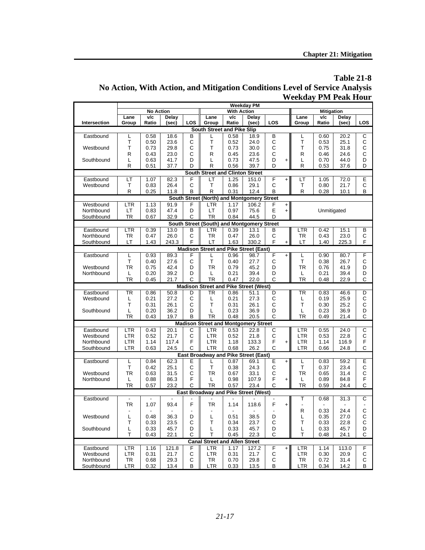## **Table 21-8 No Action, With Action, and Mitigation Conditions Level of Service Analysis Weekday PM Peak Hour**

|              |                |                          |              |              |                                              |                    | <b>Weekday PM</b> |                  |           |                          |                   |              |                |
|--------------|----------------|--------------------------|--------------|--------------|----------------------------------------------|--------------------|-------------------|------------------|-----------|--------------------------|-------------------|--------------|----------------|
|              |                | <b>No Action</b>         |              |              |                                              | <b>With Action</b> |                   |                  |           |                          | <b>Mitigation</b> |              |                |
|              | Lane           | v/c                      | Delay        |              | Lane                                         | v/c                | Delay             |                  |           | Lane                     | v/c               | Delay        |                |
| Intersection | Group          | Ratio                    | (sec)        | LOS          | Group                                        | Ratio              | (sec)             | LOS              |           | Group                    | Ratio             | (sec)        | LOS            |
|              |                |                          |              |              | South Street and Pike Slip                   |                    |                   |                  |           |                          |                   |              |                |
| Eastbound    | L              | 0.58                     | 18.6         | B            | L                                            | 0.58               | 18.9              | B                |           | L                        | 0.60              | 20.2         | C              |
|              | T              | 0.50                     | 23.6         | $\mathsf{C}$ | T                                            | 0.52               | 24.0              | С                |           | T<br>T                   | 0.53              | 25.1         | C              |
| Westbound    | T              | 0.73                     | 29.8         | C<br>C       | Τ                                            | 0.73               | 30.0              | $\mathsf C$      |           |                          | 0.75              | 31.8         | C              |
|              | R<br>L         | 0.43                     | 23.0<br>41.7 | D            | R<br>L                                       | 0.45<br>0.73       | 23.6<br>47.5      | $\mathsf C$<br>D |           | R<br>L                   | 0.46              | 24.6         | С<br>D         |
| Southbound   | R              | 0.63<br>0.51             | 37.7         | D            | R                                            | 0.56               | 39.7              | D                | +         | R                        | 0.70<br>0.53      | 44.0<br>37.6 | D              |
|              |                |                          |              |              | <b>South Street and Clinton Street</b>       |                    |                   |                  |           |                          |                   |              |                |
| Eastbound    | LТ             | 1.07                     | 82.3         | F            | LТ                                           | 1.25               | 151.0             | F                |           | LТ                       | 1.05              | 72.0         | Е              |
| Westbound    | Τ              | 0.83                     | 26.4         | С            | Τ                                            | 0.86               | 29.1              | C                | $\ddot{}$ | T                        | 0.80              | 21.7         | C              |
|              | R              | 0.25                     | 11.8         | B            | R                                            | 0.31               | 12.4              | B                |           | R                        | 0.28              | 10.1         | B              |
|              |                |                          |              |              | South Street (North) and Montgomery Street   |                    |                   |                  |           |                          |                   |              |                |
| Westbound    | <b>LTR</b>     | 1.13                     | 91.9         | F            | <b>LTR</b>                                   | 1.17               | 106.2             | F                | $\ddot{}$ |                          |                   |              |                |
| Northbound   | LT             | 0.83                     | 47.4         | D            | LT                                           | 0.97               | 75.6              | E                | $\ddot{}$ |                          | Unmitigated       |              |                |
| Southbound   | <b>TR</b>      | 0.67                     | 32.9         | C            | TR                                           | 0.84               | 44.5              | D                |           |                          |                   |              |                |
|              |                |                          |              |              | South Street (South) and Montgomery Street   |                    |                   |                  |           |                          |                   |              |                |
| Eastbound    | LTR            | 0.39                     | 13.0         | в            | LTR                                          | 0.39               | 13.1              | В                |           | LTR                      | 0.42              | 15.1         | B              |
| Northbound   | <b>TR</b>      | 0.47                     | 26.0         | C            | TR                                           | 0.47               | 26.0              | C                |           | TR                       | 0.43              | 23.0         | C              |
| Southbound   | LT             | 1.43                     | 243.3        | F            | LT                                           | 1.63               | 330.2             | F                | $\ddot{}$ | LT                       | 1.40              | 225.3        | F              |
|              |                |                          |              |              | <b>Madison Street and Pike Street (East)</b> |                    |                   |                  |           |                          |                   |              |                |
| Eastbound    | L              | 0.93                     | 89.3         | F            | L                                            | 0.96               | 98.7              | F                | $\ddot{}$ | L                        | 0.90              | 80.7         | F              |
|              | T              | 0.40                     | 27.6         | С            | T                                            | 0.40               | 27.7              | С                |           | T.                       | 0.38              | 26.7         | C              |
| Westbound    | <b>TR</b>      | 0.75                     | 42.4         | D            | TR                                           | 0.79               | 45.2              | D                |           | TR                       | 0.76              | 41.9         | D              |
| Northbound   | L              | 0.20                     | 39.2         | D            | L                                            | 0.21               | 39.4              | D                |           | L                        | 0.21              | 39.4         | D              |
|              | <b>TR</b>      | 0.45                     | 21.7         | C            | <b>TR</b>                                    | 0.47               | 22.0              | C                |           | <b>TR</b>                | 0.48              | 22.9         | C              |
|              |                |                          |              |              | <b>Madison Street and Pike Street (West)</b> |                    |                   |                  |           |                          |                   |              |                |
| Eastbound    | TR             | 0.86                     | 50.8         | D            | TR                                           | 0.86               | 51.1              | D                |           | TR                       | 0.83              | 46.6         | D              |
| Westbound    | L              | 0.21                     | 27.2         | С            | L                                            | 0.21               | 27.3              | C                |           | L                        | 0.19              | 25.9         | C              |
|              | Т              | 0.31                     | 26.1         | C            | Τ                                            | 0.31               | 26.1              | C                |           | T                        | 0.30              | 25.2         | C              |
| Southbound   | L              | 0.20                     | 36.2         | D            | L                                            | 0.23               | 36.9              | D                |           | L                        | 0.23              | 36.9         | D              |
|              | TR             | 0.43                     | 19.7         | B            | TR                                           | 0.48               | 20.5              | C                |           | TR                       | 0.49              | 21.4         | С              |
|              |                |                          |              |              | <b>Madison Street and Montgomery Street</b>  |                    |                   |                  |           |                          |                   |              |                |
| Eastbound    | LTR            | 0.43                     | 20.1         | С            | LTR                                          | 0.53               | 22.8              | С                |           | LTR                      | 0.55              | 24.0         | $\overline{C}$ |
| Westbound    | <b>LTR</b>     | 0.52                     | 21.7         | C            | LTR                                          | 0.52               | 21.8              | $\mathsf C$      |           | LTR                      | 0.53              | 22.8         | C              |
| Northbound   | LTR            | 1.14                     | 117.4        | F            | LTR                                          | 1.18               | 133.3             | F                | $\ddot{}$ | <b>LTR</b>               | 1.14              | 116.9        | F              |
| Southbound   | LTR            | 0.63                     | 24.5         | C            | <b>LTR</b>                                   | 0.68               | 26.2              | C                |           | LTR                      | 0.66              | 24.8         | C              |
|              |                |                          |              |              | East Broadway and Pike Street (East)         |                    |                   |                  |           |                          |                   |              |                |
| Eastbound    | L<br>т         | 0.84<br>0.42             | 62.3<br>25.1 | Е<br>С       | Τ                                            | 0.87<br>0.38       | 69.1<br>24.3      | Ε<br>$\mathsf C$ | $\ddot{}$ | L<br>T                   | 0.83<br>0.37      | 59.2<br>23.4 | Ε<br>C         |
| Westbound    | <b>TR</b>      | 0.63                     | 31.5         | C            | TR                                           | 0.67               | 33.1              | C                |           | TR                       | 0.65              | 31.4         | C              |
| Northbound   | L              | 0.88                     | 86.3         | F            | L                                            | 0.98               | 107.9             | F                | $\ddot{}$ | Г                        | 0.89              | 84.8         | F              |
|              | <b>TR</b>      | 0.57                     | 23.2         | C            | TR                                           | 0.57               | 23.4              | C                |           | TR                       | 0.59              | 24.4         | C              |
|              |                |                          |              |              | <b>East Broadway and Pike Street (West)</b>  |                    |                   |                  |           |                          |                   |              |                |
| Eastbound    |                | $\blacksquare$           |              |              |                                              |                    |                   |                  |           | Т                        | 0.68              | 31.3         | С              |
|              | <b>TR</b>      | 1.07                     | 93.4         | F            | TR                                           | 1.14               | 118.6             | F                | +         | $\overline{\phantom{a}}$ |                   |              |                |
|              | $\blacksquare$ | $\overline{\phantom{a}}$ | ٠            |              | $\overline{\phantom{a}}$                     |                    |                   |                  |           | R                        | 0.33              | 24.4         | C              |
| Westbound    | L              | 0.48                     | 36.3         | D            | L                                            | 0.51               | 38.5              | D                |           | L                        | 0.35              | 27.0         | $\mathsf{C}$   |
|              | Τ              | 0.33                     | 23.5         | C            | T                                            | 0.34               | 23.7              | C                |           | $\mathsf T$              | 0.33              | 22.8         | C              |
| Southbound   | L              | 0.33                     | 45.7         | D            | L                                            | 0.33               | 45.7              | D                |           | L                        | 0.33              | 45.7         | D              |
|              | T              | 0.43                     | 22.1         | С            | T                                            | 0.45               | 22.3              | C                |           | $\top$                   | 0.48              | 24.1         | С              |
|              |                |                          |              |              | <b>Canal Street and Allen Street</b>         |                    |                   |                  |           |                          |                   |              |                |
| Eastbound    | <b>LTR</b>     | 1.16                     | 121.8        | F            | LTR                                          | 1.17               | 127.2             | F                | $\ddot{}$ | <b>LTR</b>               | 1.14              | 113.0        | F              |
| Westbound    | LTR            | 0.31                     | 21.7         | С            | LTR                                          | 0.31               | 21.7              | С                |           | LTR                      | 0.30              | 20.9         | С              |
| Northbound   | TR             | 0.68                     | 29.3         | С            | <b>TR</b>                                    | 0.70               | 29.8              | С                |           | <b>TR</b>                | 0.72              | 31.4         | С              |
| Southbound   | <b>LTR</b>     | 0.32                     | 13.4         | В            | <b>LTR</b>                                   | 0.33               | 13.5              | В                |           | <b>LTR</b>               | 0.34              | 14.2         | В              |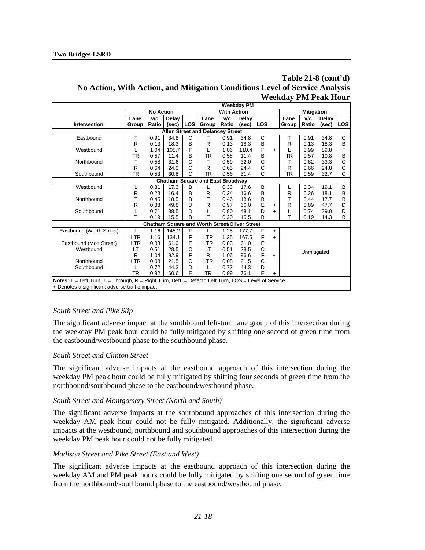## **Table 21-8 (cont'd) No Action, With Action, and Mitigation Conditions Level of Service Analysis Weekday PM Peak Hour**

|                                                                                                            |                                                      |                                        |       |   |                                                      |       | <b>Weekday PM</b> |     |           |           |                   |       |            |
|------------------------------------------------------------------------------------------------------------|------------------------------------------------------|----------------------------------------|-------|---|------------------------------------------------------|-------|-------------------|-----|-----------|-----------|-------------------|-------|------------|
|                                                                                                            |                                                      | <b>No Action</b><br><b>With Action</b> |       |   |                                                      |       |                   |     |           |           | <b>Mitigation</b> |       |            |
|                                                                                                            | Lane                                                 | v/c                                    | Delay |   | Lane                                                 | v/c   | Delav             |     |           | Lane      | V/c               | Delay |            |
| Intersection                                                                                               | Group                                                | Ratio                                  | (sec) |   | LOS Group                                            | Ratio | (sec)             | LOS |           | Group     | Ratio             | (sec) | <b>LOS</b> |
| <b>Allen Street and Delancey Street</b>                                                                    |                                                      |                                        |       |   |                                                      |       |                   |     |           |           |                   |       |            |
| Eastbound                                                                                                  |                                                      | 0.91                                   | 34.8  | C |                                                      | 0.91  | 34.8              | С   |           |           | 0.91              | 34.8  | C          |
|                                                                                                            | R                                                    | 0.13                                   | 18.3  | B | R                                                    | 0.13  | 18.3              | B   |           | R         | 0.13              | 18.3  | B          |
| Westbound                                                                                                  |                                                      | 1.04                                   | 105.7 | F |                                                      | 1.06  | 110.4             | F   | $\ddot{}$ |           | 0.99              | 89.8  | F          |
|                                                                                                            | TR                                                   | 0.57                                   | 11.4  | B | TR                                                   | 0.58  | 11.4              | B   |           | TR        | 0.57              | 10.8  | B          |
| Northbound                                                                                                 | т                                                    | 0.58                                   | 31.6  | С | т                                                    | 0.59  | 32.0              | C   |           | т         | 0.62              | 33.3  | C          |
|                                                                                                            | R                                                    | 0.64                                   | 24.0  | Ć | R                                                    | 0.65  | 24.4              | C   |           | R         | 0.66              | 24.8  | C          |
| Southbound                                                                                                 | TR                                                   | 0.53                                   | 30.8  | Ċ | <b>TR</b>                                            | 0.56  | 31.4              | C   |           | <b>TR</b> | 0.59              | 32.7  | C          |
|                                                                                                            |                                                      |                                        |       |   | <b>Chatham Square and East Broadway</b>              |       |                   |     |           |           |                   |       |            |
| Westbound                                                                                                  |                                                      | 0.31                                   | 17.3  | В |                                                      | 0.33  | 17.6              | B   |           |           | 0.34              | 19.1  | B          |
|                                                                                                            | R                                                    | 0.23                                   | 16.4  | B | R                                                    | 0.24  | 16.6              | B   |           | R         | 0.26              | 18.1  | B          |
| Northbound                                                                                                 | т                                                    | 0.45                                   | 18.5  | B | T                                                    | 0.46  | 18.6              | B   |           | T         | 0.44              | 17.7  | B          |
|                                                                                                            | R                                                    | 0.88                                   | 49.8  | D | R                                                    | 0.97  | 66.0              | E   | +         | R         | 0.89              | 47.7  | D          |
| Southbound                                                                                                 |                                                      | 0.71                                   | 38.5  | D |                                                      | 0.80  | 48.1              | D   | +         |           | 0.74              | 39.0  | D          |
|                                                                                                            | T                                                    | 0.19                                   | 15.5  | B | T                                                    | 0.20  | 15.5              | B   |           | T         | 0.19              | 14.3  | B          |
|                                                                                                            |                                                      |                                        |       |   | <b>Chatham Square and Worth Street/Oliver Street</b> |       |                   |     |           |           |                   |       |            |
| Eastbound (Worth Street)                                                                                   |                                                      | 1.16                                   | 145.2 | F |                                                      | 1.25  | 177.7             | F   | $\ddot{}$ |           |                   |       |            |
|                                                                                                            | <b>LTR</b>                                           | 1.16                                   | 134.1 | F | <b>LTR</b>                                           | 1.25  | 167.5             | F   | $\ddot{}$ |           |                   |       |            |
| Eastbound (Mott Street)                                                                                    | <b>LTR</b>                                           | 0.83                                   | 61.0  | E | <b>LTR</b>                                           | 0.83  | 61.0              | E   |           |           |                   |       |            |
| Westbound                                                                                                  | LT                                                   | 0.51                                   | 28.5  | C | LT                                                   | 0.51  | 28.5              | C   |           |           | Unmitigated       |       |            |
|                                                                                                            | R                                                    | 1.04                                   | 92.9  | F | R                                                    | 1.06  | 96.6              | F   | $\ddot{}$ |           |                   |       |            |
| Ć<br>С<br><b>LTR</b><br>21.5<br><b>LTR</b><br>Northbound<br>21.5<br>0.08<br>0.08                           |                                                      |                                        |       |   |                                                      |       |                   |     |           |           |                   |       |            |
|                                                                                                            | D<br>D<br>Southbound<br>0.72<br>44.3<br>0.72<br>44.3 |                                        |       |   |                                                      |       |                   |     |           |           |                   |       |            |
| E<br>E<br><b>TR</b><br>TR<br>0.92<br>60.6<br>0.99<br>76.1<br>$\ddot{}$                                     |                                                      |                                        |       |   |                                                      |       |                   |     |           |           |                   |       |            |
| <b>Notes:</b> L = Left Turn, T = Through, R = Right Turn, DefL = Defacto Left Turn, LOS = Level of Service |                                                      |                                        |       |   |                                                      |       |                   |     |           |           |                   |       |            |
| + Denotes a significant adverse traffic impact                                                             |                                                      |                                        |       |   |                                                      |       |                   |     |           |           |                   |       |            |

#### *South Street and Pike Slip*

The significant adverse impact at the southbound left-turn lane group of this intersection during the weekday PM peak hour could be fully mitigated by shifting one second of green time from the eastbound/westbound phase to the southbound phase.

#### *South Street and Clinton Street*

The significant adverse impacts at the eastbound approach of this intersection during the weekday PM peak hour could be fully mitigated by shifting four seconds of green time from the northbound/southbound phase to the eastbound/westbound phase.

#### *South Street and Montgomery Street (North and South)*

The significant adverse impacts at the southbound approaches of this intersection during the weekday AM peak hour could not be fully mitigated. Additionally, the significant adverse impacts at the westbound, northbound and southbound approaches of this intersection during the weekday PM peak hour could not be fully mitigated.

#### *Madison Street and Pike Street (East and West)*

The significant adverse impacts at the eastbound approach of this intersection during the weekday AM and PM peak hours could be fully mitigated by shifting one second of green time from the northbound/southbound phase to the eastbound/westbound phase.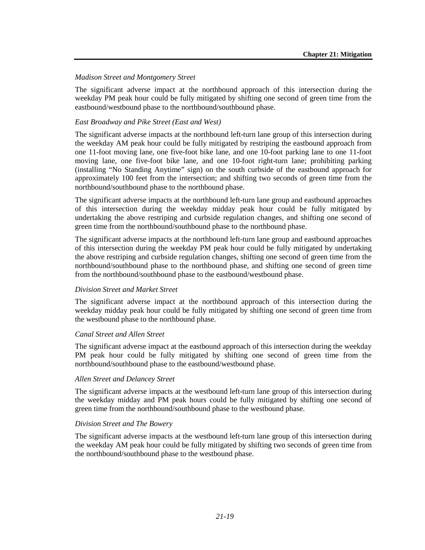#### *Madison Street and Montgomery Street*

The significant adverse impact at the northbound approach of this intersection during the weekday PM peak hour could be fully mitigated by shifting one second of green time from the eastbound/westbound phase to the northbound/southbound phase.

#### *East Broadway and Pike Street (East and West)*

The significant adverse impacts at the northbound left-turn lane group of this intersection during the weekday AM peak hour could be fully mitigated by restriping the eastbound approach from one 11-foot moving lane, one five-foot bike lane, and one 10-foot parking lane to one 11-foot moving lane, one five-foot bike lane, and one 10-foot right-turn lane; prohibiting parking (installing "No Standing Anytime" sign) on the south curbside of the eastbound approach for approximately 100 feet from the intersection; and shifting two seconds of green time from the northbound/southbound phase to the northbound phase.

The significant adverse impacts at the northbound left-turn lane group and eastbound approaches of this intersection during the weekday midday peak hour could be fully mitigated by undertaking the above restriping and curbside regulation changes, and shifting one second of green time from the northbound/southbound phase to the northbound phase.

The significant adverse impacts at the northbound left-turn lane group and eastbound approaches of this intersection during the weekday PM peak hour could be fully mitigated by undertaking the above restriping and curbside regulation changes, shifting one second of green time from the northbound/southbound phase to the northbound phase, and shifting one second of green time from the northbound/southbound phase to the eastbound/westbound phase.

#### *Division Street and Market Street*

The significant adverse impact at the northbound approach of this intersection during the weekday midday peak hour could be fully mitigated by shifting one second of green time from the westbound phase to the northbound phase.

#### *Canal Street and Allen Street*

The significant adverse impact at the eastbound approach of this intersection during the weekday PM peak hour could be fully mitigated by shifting one second of green time from the northbound/southbound phase to the eastbound/westbound phase.

#### *Allen Street and Delancey Street*

The significant adverse impacts at the westbound left-turn lane group of this intersection during the weekday midday and PM peak hours could be fully mitigated by shifting one second of green time from the northbound/southbound phase to the westbound phase.

#### *Division Street and The Bowery*

The significant adverse impacts at the westbound left-turn lane group of this intersection during the weekday AM peak hour could be fully mitigated by shifting two seconds of green time from the northbound/southbound phase to the westbound phase.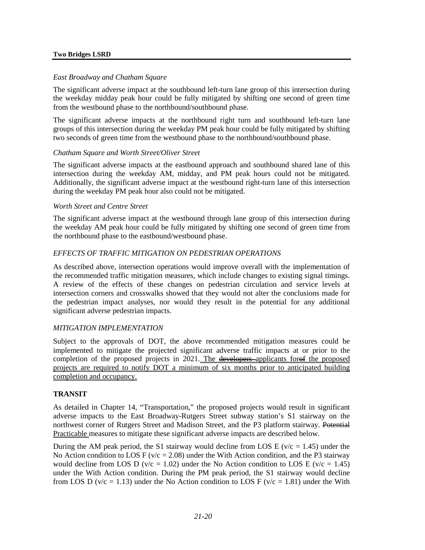#### **Two Bridges LSRD**

#### *East Broadway and Chatham Square*

The significant adverse impact at the southbound left-turn lane group of this intersection during the weekday midday peak hour could be fully mitigated by shifting one second of green time from the westbound phase to the northbound/southbound phase.

The significant adverse impacts at the northbound right turn and southbound left-turn lane groups of this intersection during the weekday PM peak hour could be fully mitigated by shifting two seconds of green time from the westbound phase to the northbound/southbound phase.

#### *Chatham Square and Worth Street/Oliver Street*

The significant adverse impacts at the eastbound approach and southbound shared lane of this intersection during the weekday AM, midday, and PM peak hours could not be mitigated. Additionally, the significant adverse impact at the westbound right-turn lane of this intersection during the weekday PM peak hour also could not be mitigated.

#### *Worth Street and Centre Street*

The significant adverse impact at the westbound through lane group of this intersection during the weekday AM peak hour could be fully mitigated by shifting one second of green time from the northbound phase to the eastbound/westbound phase.

#### *EFFECTS OF TRAFFIC MITIGATION ON PEDESTRIAN OPERATIONS*

As described above, intersection operations would improve overall with the implementation of the recommended traffic mitigation measures, which include changes to existing signal timings. A review of the effects of these changes on pedestrian circulation and service levels at intersection corners and crosswalks showed that they would not alter the conclusions made for the pedestrian impact analyses, nor would they result in the potential for any additional significant adverse pedestrian impacts.

#### *MITIGATION IMPLEMENTATION*

Subject to the approvals of DOT, the above recommended mitigation measures could be implemented to mitigate the projected significant adverse traffic impacts at or prior to the completion of the proposed projects in 2021. The developers applicants for of the proposed projects are required to notify DOT a minimum of six months prior to anticipated building completion and occupancy.

#### **TRANSIT**

As detailed in Chapter 14, "Transportation," the proposed projects would result in significant adverse impacts to the East Broadway-Rutgers Street subway station's S1 stairway on the northwest corner of Rutgers Street and Madison Street, and the P3 platform stairway. Potential Practicable measures to mitigate these significant adverse impacts are described below.

During the AM peak period, the S1 stairway would decline from LOS E ( $v/c = 1.45$ ) under the No Action condition to LOS F ( $v/c = 2.08$ ) under the With Action condition, and the P3 stairway would decline from LOS D ( $v/c = 1.02$ ) under the No Action condition to LOS E ( $v/c = 1.45$ ) under the With Action condition. During the PM peak period, the S1 stairway would decline from LOS D (v/c = 1.13) under the No Action condition to LOS F (v/c = 1.81) under the With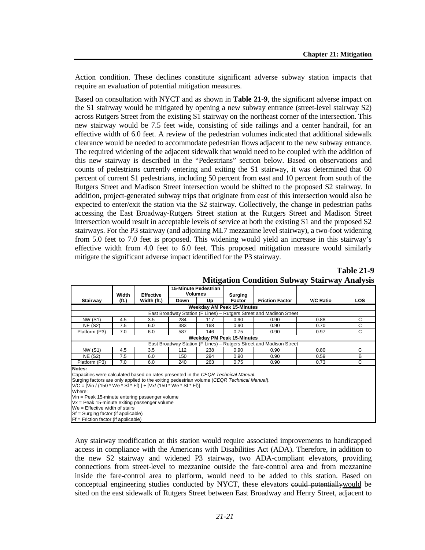Action condition. These declines constitute significant adverse subway station impacts that require an evaluation of potential mitigation measures.

Based on consultation with NYCT and as shown in **Table 21-9**, the significant adverse impact on the S1 stairway would be mitigated by opening a new subway entrance (street-level stairway S2) across Rutgers Street from the existing S1 stairway on the northeast corner of the intersection. This new stairway would be 7.5 feet wide, consisting of side railings and a center handrail, for an effective width of 6.0 feet. A review of the pedestrian volumes indicated that additional sidewalk clearance would be needed to accommodate pedestrian flows adjacent to the new subway entrance. The required widening of the adjacent sidewalk that would need to be coupled with the addition of this new stairway is described in the "Pedestrians" section below. Based on observations and counts of pedestrians currently entering and exiting the S1 stairway, it was determined that 60 percent of current S1 pedestrians, including 50 percent from east and 10 percent from south of the Rutgers Street and Madison Street intersection would be shifted to the proposed S2 stairway. In addition, project-generated subway trips that originate from east of this intersection would also be expected to enter/exit the station via the S2 stairway. Collectively, the change in pedestrian paths accessing the East Broadway-Rutgers Street station at the Rutgers Street and Madison Street intersection would result in acceptable levels of service at both the existing S1 and the proposed S2 stairways. For the P3 stairway (and adjoining ML7 mezzanine level stairway), a two-foot widening from 5.0 feet to 7.0 feet is proposed. This widening would yield an increase in this stairway's effective width from 4.0 feet to 6.0 feet. This proposed mitigation measure would similarly mitigate the significant adverse impact identified for the P3 stairway.

|                                                                                            |                                                                     |                  | 15-Minute Pedestrian |     |                                   |                                                                     |                  |            |  |  |  |
|--------------------------------------------------------------------------------------------|---------------------------------------------------------------------|------------------|----------------------|-----|-----------------------------------|---------------------------------------------------------------------|------------------|------------|--|--|--|
|                                                                                            | Width                                                               | <b>Effective</b> | <b>Volumes</b>       |     | Surging                           |                                                                     |                  |            |  |  |  |
| Stairway                                                                                   | (ft.)                                                               | Width (ft.)      | Down                 | Up  | Factor                            | <b>Friction Factor</b>                                              | <b>V/C Ratio</b> | <b>LOS</b> |  |  |  |
|                                                                                            |                                                                     |                  |                      |     | <b>Weekday AM Peak 15-Minutes</b> |                                                                     |                  |            |  |  |  |
|                                                                                            | East Broadway Station (F Lines) – Rutgers Street and Madison Street |                  |                      |     |                                   |                                                                     |                  |            |  |  |  |
| <b>NW (S1)</b>                                                                             | 4.5                                                                 | 3.5              | 284                  | 117 | 0.90                              | 0.90                                                                | 0.88             | С          |  |  |  |
| <b>NE (S2)</b>                                                                             | 7.5                                                                 | 6.0              | 383                  | 168 | 0.90                              | 0.90                                                                | 0.70             | С          |  |  |  |
| Platform (P3)                                                                              | 7.0                                                                 | 6.0              | 587                  | 146 | 0.75                              | 0.90                                                                | 0.97             | С          |  |  |  |
|                                                                                            |                                                                     |                  |                      |     | <b>Weekday PM Peak 15-Minutes</b> |                                                                     |                  |            |  |  |  |
|                                                                                            |                                                                     |                  |                      |     |                                   | East Broadway Station (F Lines) – Rutgers Street and Madison Street |                  |            |  |  |  |
| <b>NW (S1)</b>                                                                             | 4.5                                                                 | 3.5              | 112                  | 238 | 0.90                              | 0.90                                                                | 0.80             | С          |  |  |  |
| <b>NE (S2)</b>                                                                             | 7.5                                                                 | 6.0              | 150                  | 294 | 0.90                              | 0.90                                                                | 0.59             | B          |  |  |  |
| Platform (P3)                                                                              | 7.0                                                                 | 6.0              | 240                  | 263 | 0.75                              | 0.90                                                                | 0.73             | С          |  |  |  |
| Notes:                                                                                     |                                                                     |                  |                      |     |                                   |                                                                     |                  |            |  |  |  |
| Capacities were calculated based on rates presented in the CEQR Technical Manual.          |                                                                     |                  |                      |     |                                   |                                                                     |                  |            |  |  |  |
| Surging factors are only applied to the exiting pedestrian volume (CEQR Technical Manual). |                                                                     |                  |                      |     |                                   |                                                                     |                  |            |  |  |  |
| V/C = [Vin / (150 * We * Sf * Ff) ] + [Vx/ (150 * We * Sf * Ff)]                           |                                                                     |                  |                      |     |                                   |                                                                     |                  |            |  |  |  |
| Where:                                                                                     |                                                                     |                  |                      |     |                                   |                                                                     |                  |            |  |  |  |
| Vin = Peak 15-minute entering passenger volume                                             |                                                                     |                  |                      |     |                                   |                                                                     |                  |            |  |  |  |
| Vx = Peak 15-minute exiting passenger volume                                               |                                                                     |                  |                      |     |                                   |                                                                     |                  |            |  |  |  |

#### **Table 21-9 Mitigation Condition Subway Stairway Analysis**

We = Effective width of stairs Sf = Surging factor (if applicable)

Ff = Friction factor (if applicable)

Any stairway modification at this station would require associated improvements to handicapped access in compliance with the Americans with Disabilities Act (ADA). Therefore, in addition to the new S2 stairway and widened P3 stairway, two ADA-compliant elevators, providing connections from street-level to mezzanine outside the fare-control area and from mezzanine inside the fare-control area to platform, would need to be added to this station. Based on conceptual engineering studies conducted by NYCT, these elevators could potentiallywould be sited on the east sidewalk of Rutgers Street between East Broadway and Henry Street, adjacent to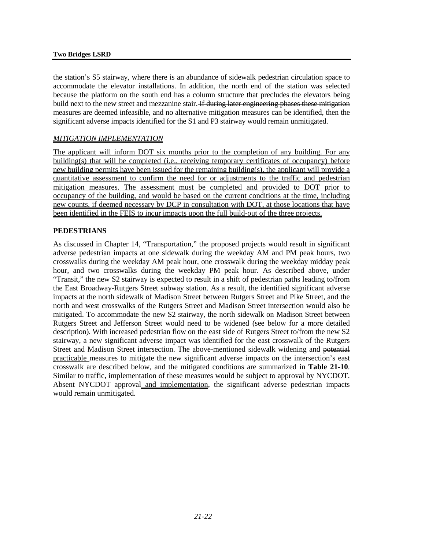the station's S5 stairway, where there is an abundance of sidewalk pedestrian circulation space to accommodate the elevator installations. In addition, the north end of the station was selected because the platform on the south end has a column structure that precludes the elevators being build next to the new street and mezzanine stair. If during later engineering phases these mitigation measures are deemed infeasible, and no alternative mitigation measures can be identified, then the significant adverse impacts identified for the S1 and P3 stairway would remain unmitigated.

#### *MITIGATION IMPLEMENTATION*

The applicant will inform DOT six months prior to the completion of any building. For any building(s) that will be completed (i.e., receiving temporary certificates of occupancy) before new building permits have been issued for the remaining building(s), the applicant will provide a quantitative assessment to confirm the need for or adjustments to the traffic and pedestrian mitigation measures. The assessment must be completed and provided to DOT prior to occupancy of the building, and would be based on the current conditions at the time, including new counts, if deemed necessary by DCP in consultation with DOT, at those locations that have been identified in the FEIS to incur impacts upon the full build-out of the three projects.

#### **PEDESTRIANS**

As discussed in Chapter 14, "Transportation," the proposed projects would result in significant adverse pedestrian impacts at one sidewalk during the weekday AM and PM peak hours, two crosswalks during the weekday AM peak hour, one crosswalk during the weekday midday peak hour, and two crosswalks during the weekday PM peak hour. As described above, under "Transit," the new S2 stairway is expected to result in a shift of pedestrian paths leading to/from the East Broadway-Rutgers Street subway station. As a result, the identified significant adverse impacts at the north sidewalk of Madison Street between Rutgers Street and Pike Street, and the north and west crosswalks of the Rutgers Street and Madison Street intersection would also be mitigated. To accommodate the new S2 stairway, the north sidewalk on Madison Street between Rutgers Street and Jefferson Street would need to be widened (see below for a more detailed description). With increased pedestrian flow on the east side of Rutgers Street to/from the new S2 stairway, a new significant adverse impact was identified for the east crosswalk of the Rutgers Street and Madison Street intersection. The above-mentioned sidewalk widening and potential practicable measures to mitigate the new significant adverse impacts on the intersection's east crosswalk are described below, and the mitigated conditions are summarized in **Table 21-10**. Similar to traffic, implementation of these measures would be subject to approval by NYCDOT. Absent NYCDOT approval and implementation, the significant adverse pedestrian impacts would remain unmitigated.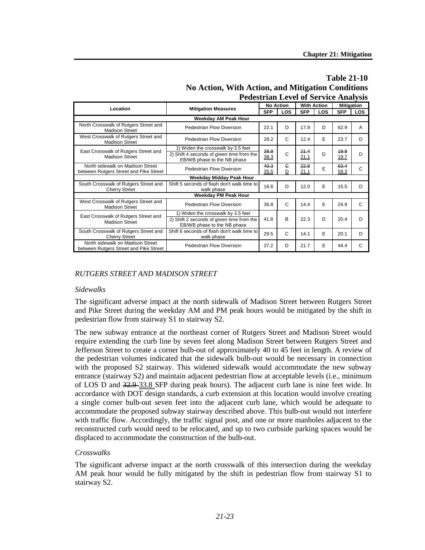|                                                                            | <b>Pedestrian Level of Service Analysis</b>                              |            |                  |                    |            |                   |            |
|----------------------------------------------------------------------------|--------------------------------------------------------------------------|------------|------------------|--------------------|------------|-------------------|------------|
| Location                                                                   | <b>Mitigation Measures</b>                                               |            | <b>No Action</b> | <b>With Action</b> |            | <b>Mitigation</b> |            |
|                                                                            |                                                                          | <b>SFP</b> | <b>LOS</b>       | <b>SFP</b>         | <b>LOS</b> | <b>SFP</b>        | <b>LOS</b> |
|                                                                            |                                                                          |            |                  |                    |            |                   |            |
| North Crosswalk of Rutgers Street and<br><b>Madison Street</b>             | Pedestrian Flow Diversion                                                | 22.1       | D                | 17.9               | D          | 62.9              | A          |
| West Crosswalk of Rutgers Street and<br><b>Madison Street</b>              | Pedestrian Flow Diversion                                                | 28.2       | C                | 12.4               | E          | 23.7              | D          |
| East Crosswalk of Rutgers Street and                                       | 1) Widen the crosswalk by 3.5 feet                                       | 38.9       |                  | 21.4               |            | 19.9              |            |
| <b>Madison Street</b>                                                      | 2) Shift 4 seconds of green time from the<br>EB/WB phase to the NB phase | 38.3       | C                | 21.1               | D          | 19.7              | D          |
| North sidewalk on Madison Street                                           | Pedestrian Flow Diversion                                                | 40.3       | $\epsilon$       | 22.8               | E          | 63.4              | C          |
| between Rutgers Street and Pike Street                                     |                                                                          | 35.5       | D                | 21.1               |            | 59.3              |            |
|                                                                            | Weekday Midday Peak Hour                                                 |            |                  |                    |            |                   |            |
| South Crosswalk of Rutgers Street and<br><b>Cherry Street</b>              | Shift 5 seconds of flash don't walk time to<br>walk phase                | 16.6       | D                | 12.0               | E          | 15.5              | D          |
|                                                                            | <b>Weekday PM Peak Hour</b>                                              |            |                  |                    |            |                   |            |
| West Crosswalk of Rutgers Street and<br><b>Madison Street</b>              | <b>Pedestrian Flow Diversion</b>                                         | 36.8       | C                | 14.4               | E          | 24.9              | C          |
| East Crosswalk of Rutgers Street and                                       | 1) Widen the crosswalk by 3.5 feet                                       |            |                  |                    |            |                   |            |
| <b>Madison Street</b>                                                      | 2) Shift 2 seconds of green time from the<br>EB/WB phase to the NB phase | 41.8       | B                | 22.3               | D          | 20.4              | D          |
| South Crosswalk of Rutgers Street and<br><b>Cherry Street</b>              | Shift 6 seconds of flash don't walk time to<br>walk phase                | 29.5       | C                | 14.1               | E          | 20.1              | D          |
| North sidewalk on Madison Street<br>between Rutgers Street and Pike Street | Pedestrian Flow Diversion                                                | 37.2       | D                | 21.7               | E          | 44.4              | C          |

# **Table 21-10 No Action, With Action, and Mitigation Conditions**

#### *RUTGERS STREET AND MADISON STREET*

#### *Sidewalks*

The significant adverse impact at the north sidewalk of Madison Street between Rutgers Street and Pike Street during the weekday AM and PM peak hours would be mitigated by the shift in pedestrian flow from stairway S1 to stairway S2.

The new subway entrance at the northeast corner of Rutgers Street and Madison Street would require extending the curb line by seven feet along Madison Street between Rutgers Street and Jefferson Street to create a corner bulb-out of approximately 40 to 45 feet in length. A review of the pedestrian volumes indicated that the sidewalk bulb-out would be necessary in connection with the proposed S2 stairway. This widened sidewalk would accommodate the new subway entrance (stairway S2) and maintain adjacent pedestrian flow at acceptable levels (i.e., minimum of LOS D and 32.9 33.8 SFP during peak hours). The adjacent curb lane is nine feet wide. In accordance with DOT design standards, a curb extension at this location would involve creating a single corner bulb-out seven feet into the adjacent curb lane, which would be adequate to accommodate the proposed subway stairway described above. This bulb-out would not interfere with traffic flow. Accordingly, the traffic signal post, and one or more manholes adjacent to the reconstructed curb would need to be relocated, and up to two curbside parking spaces would be displaced to accommodate the construction of the bulb-out.

#### *Crosswalks*

The significant adverse impact at the north crosswalk of this intersection during the weekday AM peak hour would be fully mitigated by the shift in pedestrian flow from stairway S1 to stairway S2.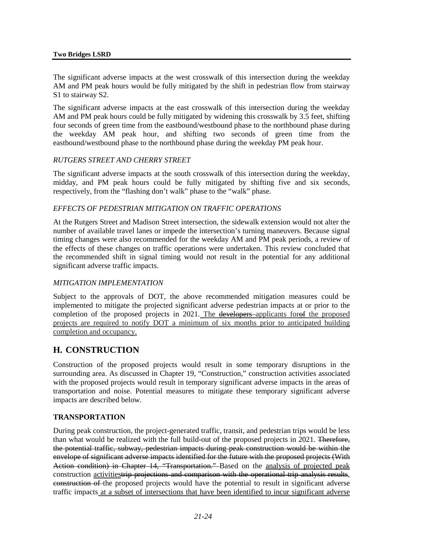#### **Two Bridges LSRD**

The significant adverse impacts at the west crosswalk of this intersection during the weekday AM and PM peak hours would be fully mitigated by the shift in pedestrian flow from stairway S1 to stairway S2.

The significant adverse impacts at the east crosswalk of this intersection during the weekday AM and PM peak hours could be fully mitigated by widening this crosswalk by 3.5 feet, shifting four seconds of green time from the eastbound/westbound phase to the northbound phase during the weekday AM peak hour, and shifting two seconds of green time from the eastbound/westbound phase to the northbound phase during the weekday PM peak hour.

#### *RUTGERS STREET AND CHERRY STREET*

The significant adverse impacts at the south crosswalk of this intersection during the weekday, midday, and PM peak hours could be fully mitigated by shifting five and six seconds, respectively, from the "flashing don't walk" phase to the "walk" phase.

#### *EFFECTS OF PEDESTRIAN MITIGATION ON TRAFFIC OPERATIONS*

At the Rutgers Street and Madison Street intersection, the sidewalk extension would not alter the number of available travel lanes or impede the intersection's turning maneuvers. Because signal timing changes were also recommended for the weekday AM and PM peak periods, a review of the effects of these changes on traffic operations were undertaken. This review concluded that the recommended shift in signal timing would not result in the potential for any additional significant adverse traffic impacts.

#### *MITIGATION IMPLEMENTATION*

Subject to the approvals of DOT, the above recommended mitigation measures could be implemented to mitigate the projected significant adverse pedestrian impacts at or prior to the completion of the proposed projects in 2021. The developers applicants forof the proposed projects are required to notify DOT a minimum of six months prior to anticipated building completion and occupancy.

## **H. CONSTRUCTION**

Construction of the proposed projects would result in some temporary disruptions in the surrounding area. As discussed in Chapter 19, "Construction," construction activities associated with the proposed projects would result in temporary significant adverse impacts in the areas of transportation and noise. Potential measures to mitigate these temporary significant adverse impacts are described below.

#### **TRANSPORTATION**

During peak construction, the project-generated traffic, transit, and pedestrian trips would be less than what would be realized with the full build-out of the proposed projects in 2021. Therefore, the potential traffic, subway, pedestrian impacts during peak construction would be within the envelope of significant adverse impacts identified for the future with the proposed projects (With Action condition) in Chapter 14, "Transportation." Based on the **analysis of projected peak** construction activitiestrip projections and comparison with the operational trip analysis results, construction of the proposed projects would have the potential to result in significant adverse traffic impacts at a subset of intersections that have been identified to incur significant adverse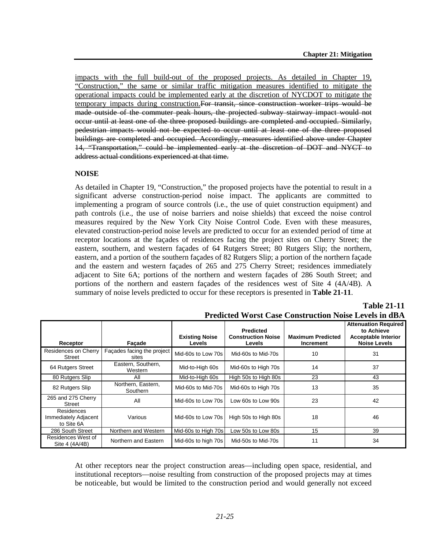impacts with the full build-out of the proposed projects. As detailed in Chapter 19, "Construction," the same or similar traffic mitigation measures identified to mitigate the operational impacts could be implemented early at the discretion of NYCDOT to mitigate the temporary impacts during construction.For transit, since construction worker trips would be made outside of the commuter peak hours, the projected subway stairway impact would not occur until at least one of the three proposed buildings are completed and occupied. Similarly, pedestrian impacts would not be expected to occur until at least one of the three proposed buildings are completed and occupied. Accordingly, measures identified above under Chapter 14, "Transportation," could be implemented early at the discretion of DOT and NYCT to address actual conditions experienced at that time.

#### **NOISE**

As detailed in Chapter 19, "Construction," the proposed projects have the potential to result in a significant adverse construction-period noise impact. The applicants are committed to implementing a program of source controls (i.e., the use of quiet construction equipment) and path controls (i.e., the use of noise barriers and noise shields) that exceed the noise control measures required by the New York City Noise Control Code. Even with these measures, elevated construction-period noise levels are predicted to occur for an extended period of time at receptor locations at the façades of residences facing the project sites on Cherry Street; the eastern, southern, and western façades of 64 Rutgers Street; 80 Rutgers Slip; the northern, eastern, and a portion of the southern façades of 82 Rutgers Slip; a portion of the northern façade and the eastern and western façades of 265 and 275 Cherry Street; residences immediately adjacent to Site 6A; portions of the northern and western façades of 286 South Street; and portions of the northern and eastern façades of the residences west of Site 4 (4A/4B). A summary of noise levels predicted to occur for these receptors is presented in **Table 21-11**.

| Receptor                                         | Facade                              | <b>Existing Noise</b><br><b>Levels</b> | <b>Predicted</b><br><b>Construction Noise</b><br><b>Levels</b> | <b>Maximum Predicted</b><br>Increment | <b>Attenuation Required</b><br>to Achieve<br><b>Acceptable Interior</b><br><b>Noise Levels</b> |
|--------------------------------------------------|-------------------------------------|----------------------------------------|----------------------------------------------------------------|---------------------------------------|------------------------------------------------------------------------------------------------|
| Residences on Cherry<br>Street                   | Facades facing the project<br>sites | Mid-60s to Low 70s                     | Mid-60s to Mid-70s                                             | 10                                    | 31                                                                                             |
| 64 Rutgers Street                                | Eastern, Southern,<br>Western       | Mid-to-High 60s                        | Mid-60s to High 70s                                            | 14                                    | 37                                                                                             |
| 80 Rutgers Slip                                  | All                                 | Mid-to-High 60s                        | High 50s to High 80s                                           | 23                                    | 43                                                                                             |
| 82 Rutgers Slip                                  | Northern, Eastern,<br>Southern      | Mid-60s to Mid-70s                     | Mid-60s to High 70s                                            | 13                                    | 35                                                                                             |
| 265 and 275 Cherry<br>Street                     | All                                 | Mid-60s to Low 70s                     | Low 60s to Low 90s                                             | 23                                    | 42                                                                                             |
| Residences<br>Immediately Adjacent<br>to Site 6A | Various                             | Mid-60s to Low 70s                     | High 50s to High 80s                                           | 18                                    | 46                                                                                             |
| 286 South Street                                 | Northern and Western                | Mid-60s to High 70s                    | Low 50s to Low 80s                                             | 15                                    | 39                                                                                             |
| Residences West of<br>Site 4 (4A/4B)             | Northern and Eastern                | Mid-60s to high 70s                    | Mid-50s to Mid-70s                                             | 11                                    | 34                                                                                             |

**Predicted Worst Case Construction Noise Levels in dBA**

**Table 21-11**

At other receptors near the project construction areas—including open space, residential, and institutional receptors—noise resulting from construction of the proposed projects may at times be noticeable, but would be limited to the construction period and would generally not exceed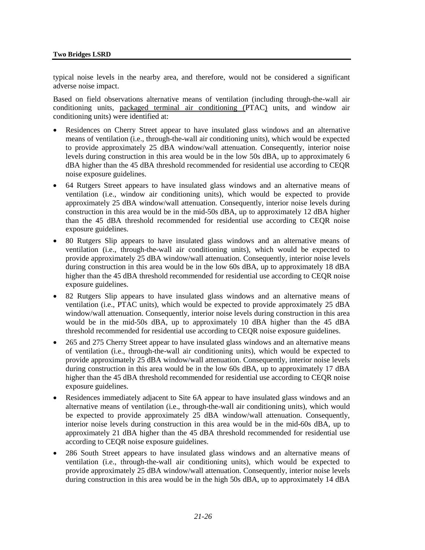typical noise levels in the nearby area, and therefore, would not be considered a significant adverse noise impact.

Based on field observations alternative means of ventilation (including through-the-wall air conditioning units, packaged terminal air conditioning (PTAC) units, and window air conditioning units) were identified at:

- Residences on Cherry Street appear to have insulated glass windows and an alternative means of ventilation (i.e., through-the-wall air conditioning units), which would be expected to provide approximately 25 dBA window/wall attenuation. Consequently, interior noise levels during construction in this area would be in the low 50s dBA, up to approximately 6 dBA higher than the 45 dBA threshold recommended for residential use according to CEQR noise exposure guidelines.
- 64 Rutgers Street appears to have insulated glass windows and an alternative means of ventilation (i.e., window air conditioning units), which would be expected to provide approximately 25 dBA window/wall attenuation. Consequently, interior noise levels during construction in this area would be in the mid-50s dBA, up to approximately 12 dBA higher than the 45 dBA threshold recommended for residential use according to CEQR noise exposure guidelines.
- 80 Rutgers Slip appears to have insulated glass windows and an alternative means of ventilation (i.e., through-the-wall air conditioning units), which would be expected to provide approximately 25 dBA window/wall attenuation. Consequently, interior noise levels during construction in this area would be in the low 60s dBA, up to approximately 18 dBA higher than the 45 dBA threshold recommended for residential use according to CEQR noise exposure guidelines.
- 82 Rutgers Slip appears to have insulated glass windows and an alternative means of ventilation (i.e., PTAC units), which would be expected to provide approximately 25 dBA window/wall attenuation. Consequently, interior noise levels during construction in this area would be in the mid-50s dBA, up to approximately 10 dBA higher than the 45 dBA threshold recommended for residential use according to CEQR noise exposure guidelines.
- 265 and 275 Cherry Street appear to have insulated glass windows and an alternative means of ventilation (i.e., through-the-wall air conditioning units), which would be expected to provide approximately 25 dBA window/wall attenuation. Consequently, interior noise levels during construction in this area would be in the low 60s dBA, up to approximately 17 dBA higher than the 45 dBA threshold recommended for residential use according to CEQR noise exposure guidelines.
- Residences immediately adjacent to Site 6A appear to have insulated glass windows and an alternative means of ventilation (i.e., through-the-wall air conditioning units), which would be expected to provide approximately 25 dBA window/wall attenuation. Consequently, interior noise levels during construction in this area would be in the mid-60s dBA, up to approximately 21 dBA higher than the 45 dBA threshold recommended for residential use according to CEQR noise exposure guidelines.
- 286 South Street appears to have insulated glass windows and an alternative means of ventilation (i.e., through-the-wall air conditioning units), which would be expected to provide approximately 25 dBA window/wall attenuation. Consequently, interior noise levels during construction in this area would be in the high 50s dBA, up to approximately 14 dBA